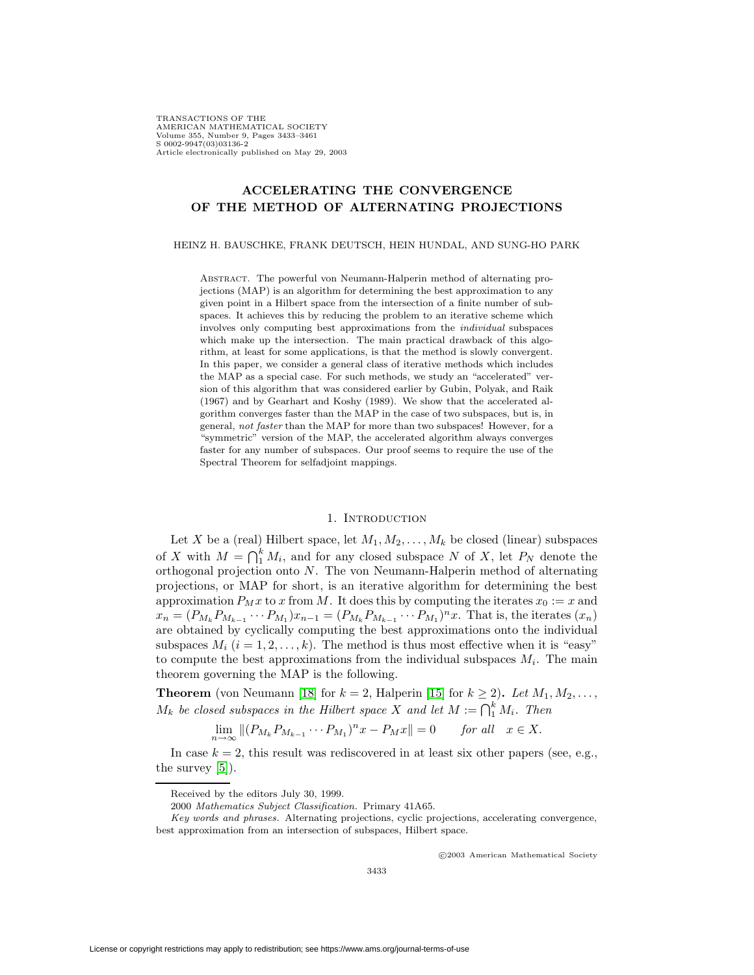TRANSACTIONS OF THE AMERICAN MATHEMATICAL SOCIETY Volume 355, Number 9, Pages 3433–3461 S 0002-9947(03)03136-2 Article electronically published on May 29, 2003

# **ACCELERATING THE CONVERGENCE OF THE METHOD OF ALTERNATING PROJECTIONS**

### HEINZ H. BAUSCHKE, FRANK DEUTSCH, HEIN HUNDAL, AND SUNG-HO PARK

Abstract. The powerful von Neumann-Halperin method of alternating projections (MAP) is an algorithm for determining the best approximation to any given point in a Hilbert space from the intersection of a finite number of subspaces. It achieves this by reducing the problem to an iterative scheme which involves only computing best approximations from the individual subspaces which make up the intersection. The main practical drawback of this algorithm, at least for some applications, is that the method is slowly convergent. In this paper, we consider a general class of iterative methods which includes the MAP as a special case. For such methods, we study an "accelerated" version of this algorithm that was considered earlier by Gubin, Polyak, and Raik (1967) and by Gearhart and Koshy (1989). We show that the accelerated algorithm converges faster than the MAP in the case of two subspaces, but is, in general, not faster than the MAP for more than two subspaces! However, for a "symmetric" version of the MAP, the accelerated algorithm always converges faster for any number of subspaces. Our proof seems to require the use of the Spectral Theorem for selfadjoint mappings.

## 1. INTRODUCTION

Let X be a (real) Hilbert space, let  $M_1, M_2, \ldots, M_k$  be closed (linear) subspaces of X with  $M = \bigcap_{i=1}^{k} M_i$ , and for any closed subspace N of X, let  $P_N$  denote the orthogonal projection onto N. The von Neumann-Halperin method of alternating projections, or MAP for short, is an iterative algorithm for determining the best approximation  $P_M x$  to x from M. It does this by computing the iterates  $x_0 := x$  and  $x_n = (P_{M_k} P_{M_{k-1}} \cdots P_{M_1}) x_{n-1} = (P_{M_k} P_{M_{k-1}} \cdots P_{M_1})^n x$ . That is, the iterates  $(x_n)$ are obtained by cyclically computing the best approximations onto the individual subspaces  $M_i$   $(i = 1, 2, \ldots, k)$ . The method is thus most effective when it is "easy" to compute the best approximations from the individual subspaces  $M_i$ . The main theorem governing the MAP is the following.

**Theorem** (von Neumann [\[18\]](#page-28-0) for  $k = 2$ , Halperin [\[15\]](#page-28-1) for  $k \ge 2$ ). Let  $M_1, M_2, \ldots$ ,  $M_k$  be closed subspaces in the Hilbert space X and let  $M := \bigcap_{1}^{k} M_i$ . Then

$$
\lim_{n \to \infty} \|(P_{M_k} P_{M_{k-1}} \cdots P_{M_1})^n x - P_M x\| = 0 \quad \text{for all} \quad x \in X.
$$

In case  $k = 2$ , this result was rediscovered in at least six other papers (see, e.g., the survey [\[5\]](#page-28-2)).

c 2003 American Mathematical Society

Received by the editors July 30, 1999.

<sup>2000</sup> Mathematics Subject Classification. Primary 41A65.

Key words and phrases. Alternating projections, cyclic projections, accelerating convergence, best approximation from an intersection of subspaces, Hilbert space.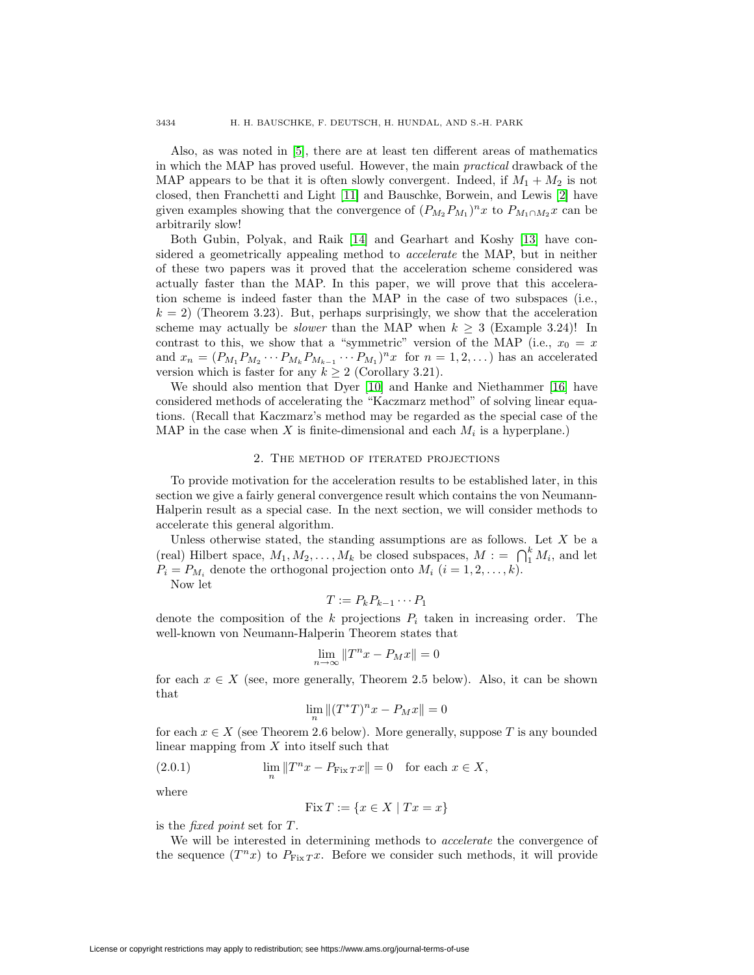Also, as was noted in [\[5\]](#page-28-2), there are at least ten different areas of mathematics in which the MAP has proved useful. However, the main practical drawback of the MAP appears to be that it is often slowly convergent. Indeed, if  $M_1 + M_2$  is not closed, then Franchetti and Light [\[11\]](#page-28-3) and Bauschke, Borwein, and Lewis [\[2\]](#page-27-0) have given examples showing that the convergence of  $(P_{M_2}P_{M_1})^nx$  to  $P_{M_1 \cap M_2}x$  can be arbitrarily slow!

Both Gubin, Polyak, and Raik [\[14\]](#page-28-4) and Gearhart and Koshy [\[13\]](#page-28-5) have considered a geometrically appealing method to accelerate the MAP, but in neither of these two papers was it proved that the acceleration scheme considered was actually faster than the MAP. In this paper, we will prove that this acceleration scheme is indeed faster than the MAP in the case of two subspaces (i.e.,  $k = 2$ ) (Theorem 3.23). But, perhaps surprisingly, we show that the acceleration scheme may actually be *slower* than the MAP when  $k > 3$  (Example 3.24)! In contrast to this, we show that a "symmetric" version of the MAP (i.e.,  $x_0 = x$ ) and  $x_n = (P_{M_1} P_{M_2} \cdots P_{M_k} P_{M_{k-1}} \cdots P_{M_1})^n x$  for  $n = 1, 2, ...$ ) has an accelerated version which is faster for any  $k \geq 2$  (Corollary 3.21).

We should also mention that Dyer [\[10\]](#page-28-6) and Hanke and Niethammer [\[16\]](#page-28-7) have considered methods of accelerating the "Kaczmarz method" of solving linear equations. (Recall that Kaczmarz's method may be regarded as the special case of the MAP in the case when X is finite-dimensional and each  $M_i$  is a hyperplane.)

### 2. The method of iterated projections

To provide motivation for the acceleration results to be established later, in this section we give a fairly general convergence result which contains the von Neumann-Halperin result as a special case. In the next section, we will consider methods to accelerate this general algorithm.

Unless otherwise stated, the standing assumptions are as follows. Let  $X$  be a (real) Hilbert space,  $M_1, M_2, \ldots, M_k$  be closed subspaces,  $M := \bigcap_{i=1}^k M_i$ , and let  $P_i = P_{M_i}$  denote the orthogonal projection onto  $M_i$   $(i = 1, 2, \ldots, k)$ .

Now let

$$
T := P_k P_{k-1} \cdots P_1
$$

denote the composition of the k projections  $P_i$  taken in increasing order. The well-known von Neumann-Halperin Theorem states that

$$
\lim_{n \to \infty} \|T^n x - P_M x\| = 0
$$

for each  $x \in X$  (see, more generally, Theorem 2.5 below). Also, it can be shown that

$$
\lim_n \|(T^*T)^nx-P_Mx\|=0
$$

for each  $x \in X$  (see Theorem 2.6 below). More generally, suppose T is any bounded linear mapping from  $X$  into itself such that

(2.0.1) 
$$
\lim_{n} \|T^{n}x - P_{\text{Fix }T}x\| = 0 \text{ for each } x \in X,
$$

where

$$
Fix T := \{ x \in X \mid Tx = x \}
$$

is the *fixed point* set for T.

We will be interested in determining methods to *accelerate* the convergence of the sequence  $(T^n x)$  to  $P_{\text{Fix } T} x$ . Before we consider such methods, it will provide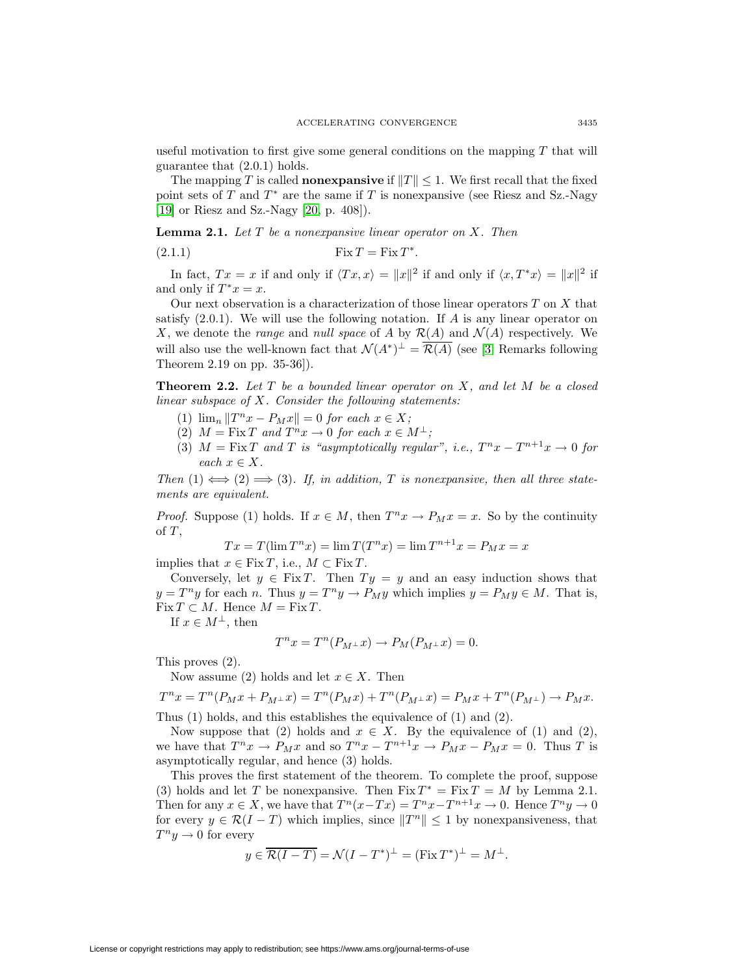useful motivation to first give some general conditions on the mapping  $T$  that will guarantee that (2.0.1) holds.

The mapping T is called **nonexpansive** if  $||T|| \leq 1$ . We first recall that the fixed point sets of T and  $T^*$  are the same if T is nonexpansive (see Riesz and Sz.-Nagy [\[19\]](#page-28-8) or Riesz and Sz.-Nagy [\[20,](#page-28-9) p. 408]).

**Lemma 2.1.** Let T be a nonexpansive linear operator on X. Then

(2.1.1) Fix T = Fix T <sup>∗</sup>.

In fact,  $Tx = x$  if and only if  $\langle Tx, x \rangle = ||x||^2$  if and only if  $\langle x, T^*x \rangle = ||x||^2$  if and only if  $T^*x = x$ .

Our next observation is a characterization of those linear operators  $T$  on  $X$  that satisfy  $(2.0.1)$ . We will use the following notation. If A is any linear operator on X, we denote the range and null space of A by  $\mathcal{R}(A)$  and  $\mathcal{N}(A)$  respectively. We will also use the well-known fact that  $\mathcal{N}(A^*)^{\perp} = \overline{\mathcal{R}(A)}$  (see [\[3,](#page-27-1) Remarks following Theorem 2.19 on pp. 35-36]).

**Theorem 2.2.** Let  $T$  be a bounded linear operator on  $X$ , and let  $M$  be a closed linear subspace of  $X$ . Consider the following statements:

- (1)  $\lim_{n} ||T^{n}x P_{M}x|| = 0$  for each  $x \in X$ ;
- (2)  $M = \text{Fix } T$  and  $T^n x \to 0$  for each  $x \in M^{\perp}$ ;
- (3)  $M = \text{Fix } T$  and T is "asymptotically regular", i.e.,  $T^n x T^{n+1} x \to 0$  for each  $x \in X$ .

Then  $(1) \iff (2) \implies (3)$ . If, in addition, T is nonexpansive, then all three statements are equivalent.

*Proof.* Suppose (1) holds. If  $x \in M$ , then  $T^n x \to P_M x = x$ . So by the continuity of  $T$ ,

$$
Tx = T(\lim T^n x) = \lim T(T^n x) = \lim T^{n+1}x = P_M x = x
$$

implies that  $x \in \text{Fix } T$ , i.e.,  $M \subset \text{Fix } T$ .

Conversely, let  $y \in \text{Fix } T$ . Then  $T y = y$  and an easy induction shows that  $y = T^n y$  for each n. Thus  $y = T^n y \rightarrow P_M y$  which implies  $y = P_M y \in M$ . That is,  $Fix T \subset M$ . Hence  $M = Fix T$ .

If  $x \in M^{\perp}$ , then

$$
T^n x = T^n (P_{M^{\perp}} x) \to P_M (P_{M^{\perp}} x) = 0.
$$

This proves (2).

Now assume (2) holds and let  $x \in X$ . Then

$$
T^{n}x = T^{n}(P_{M}x + P_{M^{\perp}}x) = T^{n}(P_{M}x) + T^{n}(P_{M^{\perp}}x) = P_{M}x + T^{n}(P_{M^{\perp}}) \to P_{M}x.
$$

Thus (1) holds, and this establishes the equivalence of (1) and (2).

Now suppose that (2) holds and  $x \in X$ . By the equivalence of (1) and (2), we have that  $T^n x \to P_M x$  and so  $T^n x - T^{n+1} x \to P_M x - P_M x = 0$ . Thus T is asymptotically regular, and hence (3) holds.

This proves the first statement of the theorem. To complete the proof, suppose (3) holds and let T be nonexpansive. Then  $Fix T^* = Fix T = M$  by Lemma 2.1. Then for any  $x \in X$ , we have that  $T^n(x-Tx) = T^n x - T^{n+1}x \to 0$ . Hence  $T^n y \to 0$ for every  $y \in \mathcal{R}(I - T)$  which implies, since  $||T^n|| \leq 1$  by nonexpansiveness, that  $T^n u \to 0$  for every

$$
y \in \overline{\mathcal{R}(I-T)} = \mathcal{N}(I-T^*)^{\perp} = (\text{Fix } T^*)^{\perp} = M^{\perp}.
$$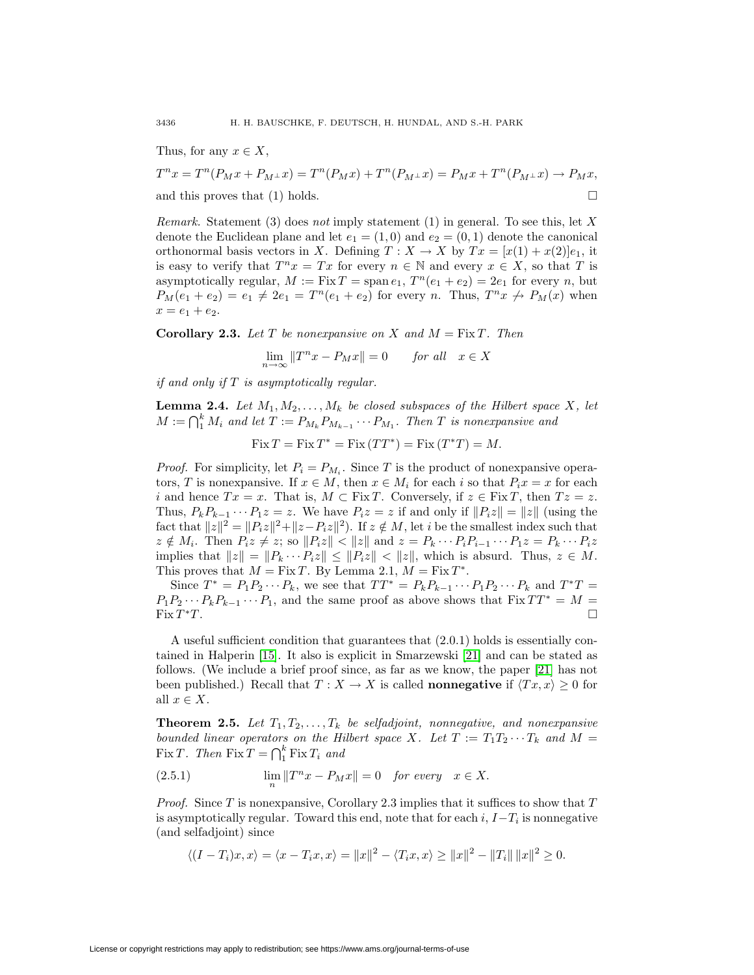Thus, for any  $x \in X$ ,

 $T^n x = T^n (P_M x + P_{M^{\perp}} x) = T^n (P_M x) + T^n (P_{M^{\perp}} x) = P_M x + T^n (P_{M^{\perp}} x) \rightarrow P_M x,$ and this proves that (1) holds.  $\square$ 

*Remark.* Statement (3) does not imply statement (1) in general. To see this, let X denote the Euclidean plane and let  $e_1 = (1,0)$  and  $e_2 = (0,1)$  denote the canonical orthonormal basis vectors in X. Defining  $T : X \to X$  by  $Tx = [x(1) + x(2)]e_1$ , it is easy to verify that  $T^n x = Tx$  for every  $n \in \mathbb{N}$  and every  $x \in X$ , so that T is asymptotically regular,  $M := Fix T = span e_1, T^n(e_1 + e_2) = 2e_1$  for every n, but  $P_M(e_1+e_2)=e_1\neq 2e_1=T^n(e_1+e_2)$  for every n. Thus,  $T^n x \nrightarrow P_M(x)$  when  $x = e_1 + e_2.$ 

**Corollary 2.3.** Let T be nonexpansive on X and  $M = Fix T$ . Then

 $\lim_{n \to \infty} ||T^n x - P_M x|| = 0$  for all  $x \in X$ 

if and only if  $T$  is asymptotically regular.

**Lemma 2.4.** Let  $M_1, M_2, \ldots, M_k$  be closed subspaces of the Hilbert space X, let  $M := \bigcap_{1}^{k} M_i$  and let  $T := P_{M_k} P_{M_{k-1}} \cdots P_{M_1}$ . Then T is nonexpansive and

 $Fix T = Fix T^* = Fix (TT^*) = Fix (T^*T) = M.$ 

*Proof.* For simplicity, let  $P_i = P_{M_i}$ . Since T is the product of nonexpansive operators, T is nonexpansive. If  $x \in M$ , then  $x \in M_i$  for each i so that  $P_ix = x$  for each i and hence  $Tx = x$ . That is,  $M \subset Fix T$ . Conversely, if  $z \in Fix T$ , then  $Tz = z$ . Thus,  $P_k P_{k-1} \cdots P_1 z = z$ . We have  $P_i z = z$  if and only if  $||P_i z|| = ||z||$  (using the fact that  $||z||^2 = ||P_iz||^2 + ||z-P_iz||^2$ . If  $z \notin M$ , let i be the smallest index such that  $z \notin M_i$ . Then  $P_i z \neq z$ ; so  $||P_i z|| < ||z||$  and  $z = P_k \cdots P_i P_{i-1} \cdots P_1 z = P_k \cdots P_i z$ implies that  $||z|| = ||P_k \cdots P_iz|| \le ||P_iz|| < ||z||$ , which is absurd. Thus,  $z \in M$ . This proves that  $M = Fix T$ . By Lemma 2.1,  $M = Fix T^*$ .

Since  $T^* = P_1 P_2 \cdots P_k$ , we see that  $TT^* = P_k P_{k-1} \cdots P_1 P_2 \cdots P_k$  and  $T^*T = T_k P_k$  $P_1P_2 \cdots P_kP_{k-1} \cdots P_1$ , and the same proof as above shows that  $Fix T T^* = M = Fix T^*T$ . Fix  $T^*T$ .

A useful sufficient condition that guarantees that (2.0.1) holds is essentially contained in Halperin [\[15\]](#page-28-1). It also is explicit in Smarzewski [\[21\]](#page-28-10) and can be stated as follows. (We include a brief proof since, as far as we know, the paper [\[21\]](#page-28-10) has not been published.) Recall that  $T : X \to X$  is called **nonnegative** if  $\langle Tx, x \rangle \geq 0$  for all  $x \in X$ .

**Theorem 2.5.** Let  $T_1, T_2, \ldots, T_k$  be selfadjoint, nonnegative, and nonexpansive bounded linear operators on the Hilbert space X. Let  $T := T_1 T_2 \cdots T_k$  and  $M =$ Fix T. Then  $\text{Fix } T = \bigcap_{1}^{k} \text{Fix } T_i$  and

(2.5.1) 
$$
\lim_{n} \|T^{n}x - P_{M}x\| = 0 \quad \text{for every} \quad x \in X.
$$

*Proof.* Since T is nonexpansive, Corollary 2.3 implies that it suffices to show that  $T$ is asymptotically regular. Toward this end, note that for each  $i, I-T_i$  is nonnegative (and selfadjoint) since

$$
\langle (I - T_i)x, x \rangle = \langle x - T_i x, x \rangle = ||x||^2 - \langle T_i x, x \rangle \ge ||x||^2 - ||T_i|| ||x||^2 \ge 0.
$$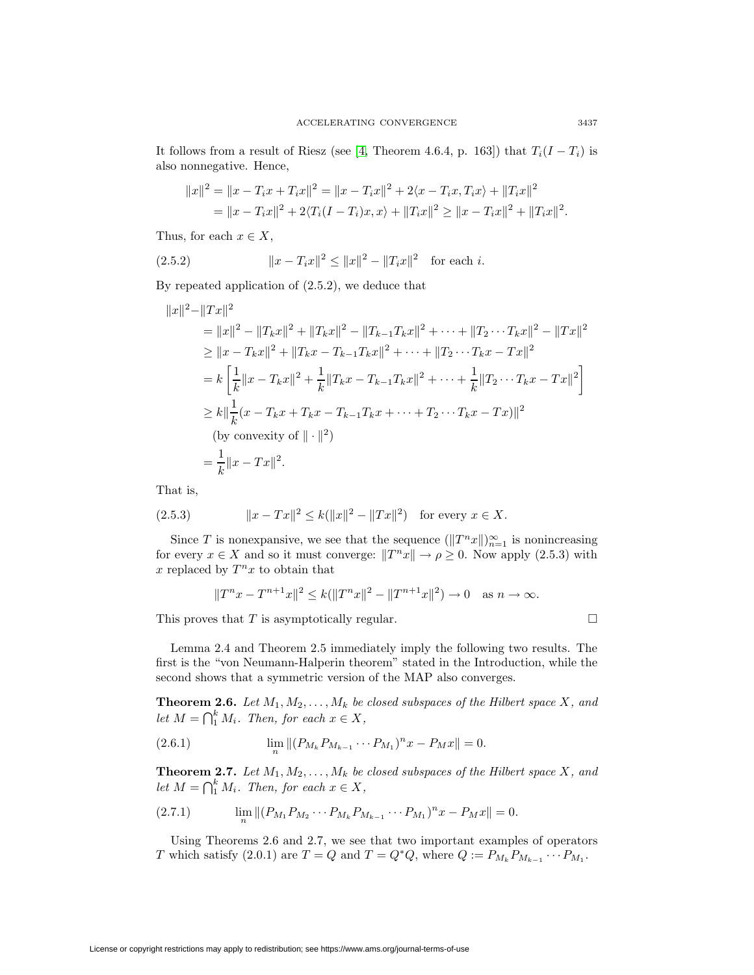It follows from a result of Riesz (see [\[4,](#page-28-11) Theorem 4.6.4, p. 163]) that  $T_i(I - T_i)$  is also nonnegative. Hence,

$$
||x||^2 = ||x - T_i x + T_i x||^2 = ||x - T_i x||^2 + 2\langle x - T_i x, T_i x \rangle + ||T_i x||^2
$$
  
= 
$$
||x - T_i x||^2 + 2\langle T_i (I - T_i) x, x \rangle + ||T_i x||^2 \ge ||x - T_i x||^2 + ||T_i x||^2.
$$

Thus, for each  $x \in X$ ,

(2.5.2) 
$$
||x - T_i x||^2 \le ||x||^2 - ||T_i x||^2 \text{ for each } i.
$$

By repeated application of (2.5.2), we deduce that

$$
||x||^{2} - ||Tx||^{2}
$$
  
\n
$$
= ||x||^{2} - ||T_{k}x||^{2} + ||T_{k}x||^{2} - ||T_{k-1}T_{k}x||^{2} + \cdots + ||T_{2} \cdots T_{k}x||^{2} - ||Tx||^{2}
$$
  
\n
$$
\geq ||x - T_{k}x||^{2} + ||T_{k}x - T_{k-1}T_{k}x||^{2} + \cdots + ||T_{2} \cdots T_{k}x - Tx||^{2}
$$
  
\n
$$
= k \left[ \frac{1}{k} ||x - T_{k}x||^{2} + \frac{1}{k} ||T_{k}x - T_{k-1}T_{k}x||^{2} + \cdots + \frac{1}{k} ||T_{2} \cdots T_{k}x - Tx||^{2} \right]
$$
  
\n
$$
\geq k || \frac{1}{k} (x - T_{k}x + T_{k}x - T_{k-1}T_{k}x + \cdots + T_{2} \cdots T_{k}x - Tx)||^{2}
$$
  
\n(by convexity of  $|| \cdot ||^{2}$ )  
\n
$$
= \frac{1}{k} ||x - Tx||^{2}.
$$

That is,

(2.5.3) 
$$
||x - Tx||^2 \le k(||x||^2 - ||Tx||^2) \text{ for every } x \in X.
$$

Since T is nonexpansive, we see that the sequence  $(\|T^n x\|)_{n=1}^{\infty}$  is nonincreasing for every  $x \in X$  and so it must converge:  $||T^n x|| \to \rho \geq 0$ . Now apply (2.5.3) with x replaced by  $T^n x$  to obtain that

$$
||T^{n}x - T^{n+1}x||^{2} \le k(||T^{n}x||^{2} - ||T^{n+1}x||^{2}) \to 0 \quad \text{as } n \to \infty.
$$

This proves that  $T$  is asymptotically regular.  $\Box$ 

Lemma 2.4 and Theorem 2.5 immediately imply the following two results. The first is the "von Neumann-Halperin theorem" stated in the Introduction, while the second shows that a symmetric version of the MAP also converges.

**Theorem 2.6.** Let  $M_1, M_2, \ldots, M_k$  be closed subspaces of the Hilbert space X, and let  $M = \bigcap_{i=1}^{k} M_i$ . Then, for each  $x \in X$ ,

(2.6.1) 
$$
\lim_{n} || (P_{M_k} P_{M_{k-1}} \cdots P_{M_1})^n x - P_M x || = 0.
$$

**Theorem 2.7.** Let  $M_1, M_2, \ldots, M_k$  be closed subspaces of the Hilbert space X, and let  $M = \bigcap_{i=1}^{k} M_i$ . Then, for each  $x \in X$ ,

$$
(2.7.1) \qquad \lim_{n} \|(P_{M_1} P_{M_2} \cdots P_{M_k} P_{M_{k-1}} \cdots P_{M_1})^n x - P_M x\| = 0.
$$

Using Theorems 2.6 and 2.7, we see that two important examples of operators T which satisfy (2.0.1) are  $T = Q$  and  $T = Q^*Q$ , where  $Q := P_{M_k} P_{M_{k-1}} \cdots P_{M_1}$ .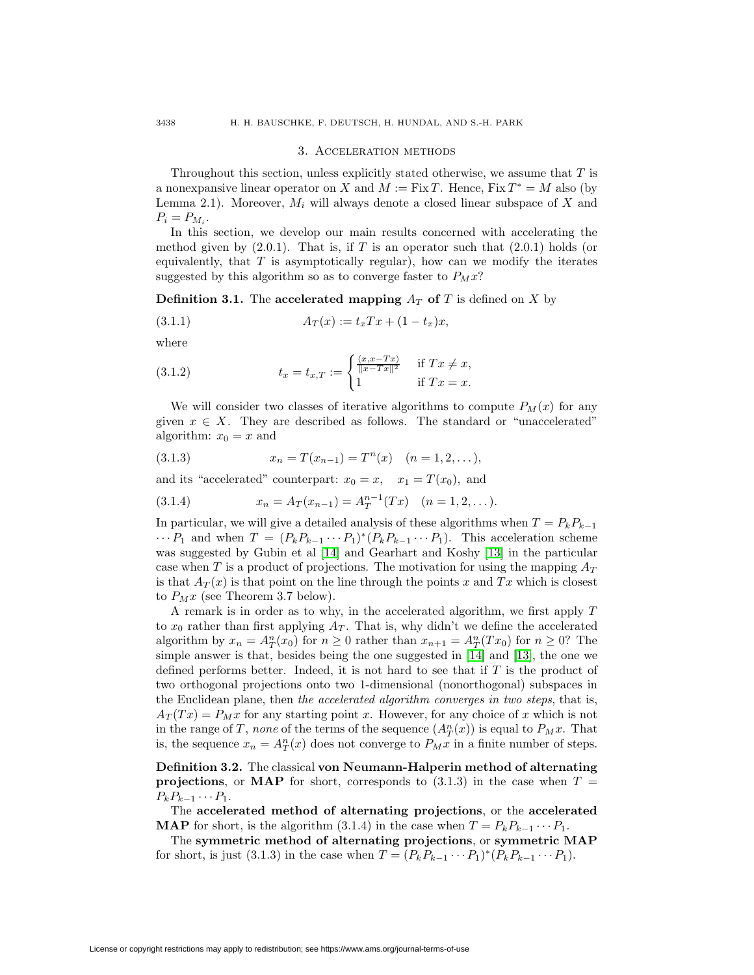#### 3. Acceleration methods

Throughout this section, unless explicitly stated otherwise, we assume that  $T$  is a nonexpansive linear operator on X and  $M := Fix T$ . Hence,  $Fix T^* = M$  also (by Lemma 2.1). Moreover,  $M_i$  will always denote a closed linear subspace of X and  $P_i = P_{M_i}$ .

In this section, we develop our main results concerned with accelerating the method given by  $(2.0.1)$ . That is, if T is an operator such that  $(2.0.1)$  holds (or equivalently, that  $T$  is asymptotically regular), how can we modify the iterates suggested by this algorithm so as to converge faster to  $P_M x$ ?

**Definition 3.1.** The **accelerated mapping**  $A_T$  of T is defined on X by

$$
(3.1.1) \t\t AT(x) := txTx + (1 - tx)x,
$$

where

(3.1.2) 
$$
t_x = t_{x,T} := \begin{cases} \frac{\langle x, x - Tx \rangle}{\|x - Tx\|^2} & \text{if } Tx \neq x, \\ 1 & \text{if } Tx = x. \end{cases}
$$

We will consider two classes of iterative algorithms to compute  $P_M(x)$  for any given  $x \in X$ . They are described as follows. The standard or "unaccelerated" algorithm:  $x_0 = x$  and

(3.1.3) 
$$
x_n = T(x_{n-1}) = T^n(x) \quad (n = 1, 2, ...),
$$

and its "accelerated" counterpart:  $x_0 = x$ ,  $x_1 = T(x_0)$ , and

(3.1.4) 
$$
x_n = A_T(x_{n-1}) = A_T^{n-1}(Tx) \quad (n = 1, 2, ...).
$$

In particular, we will give a detailed analysis of these algorithms when  $T = P_k P_{k-1}$  $\cdots P_1$  and when  $T = (P_k P_{k-1} \cdots P_1)^*(P_k P_{k-1} \cdots P_1)$ . This acceleration scheme was suggested by Gubin et al [\[14\]](#page-28-4) and Gearhart and Koshy [\[13\]](#page-28-5) in the particular case when T is a product of projections. The motivation for using the mapping  $A_T$ is that  $A_T(x)$  is that point on the line through the points x and Tx which is closest to  $P_M x$  (see Theorem 3.7 below).

A remark is in order as to why, in the accelerated algorithm, we first apply T to  $x_0$  rather than first applying  $A_T$ . That is, why didn't we define the accelerated algorithm by  $x_n = A_T^n(x_0)$  for  $n \geq 0$  rather than  $x_{n+1} = A_T^n(Tx_0)$  for  $n \geq 0$ ? The simple answer is that, besides being the one suggested in [\[14\]](#page-28-4) and [\[13\]](#page-28-5), the one we defined performs better. Indeed, it is not hard to see that if  $T$  is the product of two orthogonal projections onto two 1-dimensional (nonorthogonal) subspaces in the Euclidean plane, then the accelerated algorithm converges in two steps, that is,  $A_T(Tx) = P_M x$  for any starting point x. However, for any choice of x which is not in the range of T, none of the terms of the sequence  $(A_T^n(x))$  is equal to  $P_M x$ . That is, the sequence  $x_n = A_T^n(x)$  does not converge to  $P_M x$  in a finite number of steps.

**Definition 3.2.** The classical **von Neumann-Halperin method of alternating projections**, or **MAP** for short, corresponds to  $(3.1.3)$  in the case when  $T =$  $P_kP_{k-1}\cdots P_1.$ 

The **accelerated method of alternating projections**, or the **accelerated MAP** for short, is the algorithm (3.1.4) in the case when  $T = P_k P_{k-1} \cdots P_1$ .

The **symmetric method of alternating projections**, or **symmetric MAP** for short, is just (3.1.3) in the case when  $T = (P_k P_{k-1} \cdots P_1)^*(P_k P_{k-1} \cdots P_1)$ .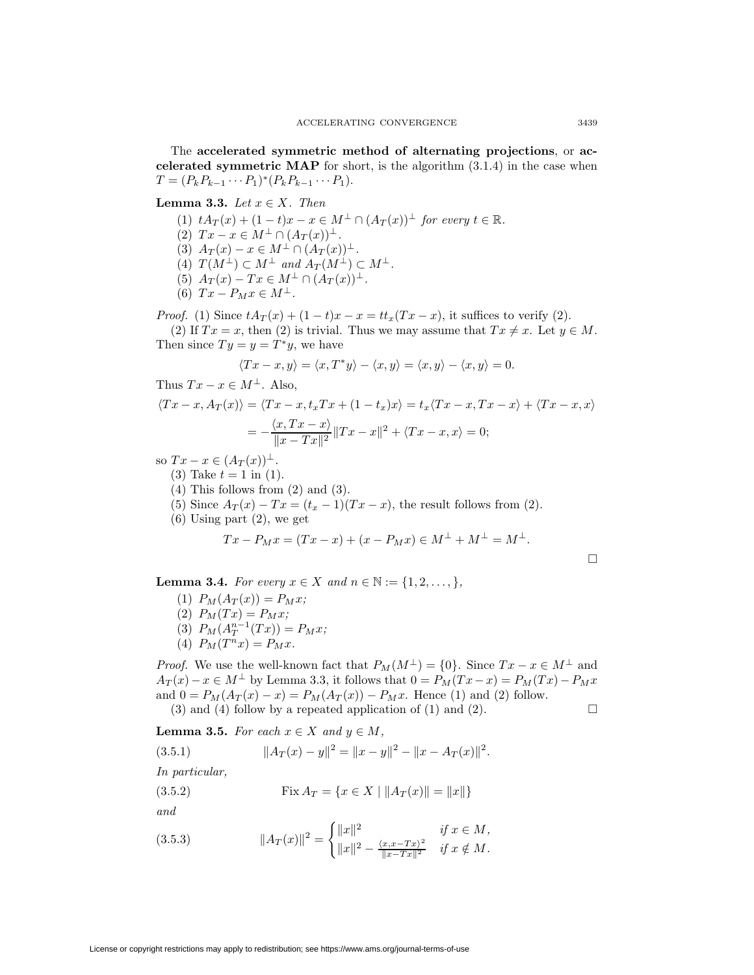The **accelerated symmetric method of alternating projections**, or **accelerated symmetric MAP** for short, is the algorithm (3.1.4) in the case when  $T = (P_k P_{k-1} \cdots P_1)^*(P_k P_{k-1} \cdots P_1).$ 

**Lemma 3.3.** Let  $x \in X$ . Then

(1)  $tA_T(x) + (1-t)x - x \in M^{\perp} \cap (A_T(x))^{\perp}$  for every  $t \in \mathbb{R}$ . (2)  $Tx - x \in M^{\perp} \cap (A_T(x))^{\perp}$ .

- (3)  $A_T(x) x \in M^{\perp} \cap (A_T(x))^{\perp}.$
- (4)  $T(M^{\perp}) \subset M^{\perp}$  and  $A_T(M^{\perp}) \subset M^{\perp}$ .
- (5)  $A_T(x) Tx \in M^{\perp} \cap (A_T(x))^{\perp}$ .
- (6)  $Tx P_M x \in M^{\perp}$ .

*Proof.* (1) Since  $tA_T(x) + (1-t)x - x = tt_x(Tx - x)$ , it suffices to verify (2).

(2) If  $Tx = x$ , then (2) is trivial. Thus we may assume that  $Tx \neq x$ . Let  $y \in M$ . Then since  $Ty = y = T^*y$ , we have

$$
\langle Tx - x, y \rangle = \langle x, T^*y \rangle - \langle x, y \rangle = \langle x, y \rangle - \langle x, y \rangle = 0.
$$

Thus  $Tx - x \in M^{\perp}$ . Also,

$$
\langle Tx - x, A_T(x) \rangle = \langle Tx - x, t_x Tx + (1 - t_x)x \rangle = t_x \langle Tx - x, Tx - x \rangle + \langle Tx - x, x \rangle
$$

$$
= -\frac{\langle x, Tx - x \rangle}{\|x - Tx\|^2} \|Tx - x\|^2 + \langle Tx - x, x \rangle = 0;
$$

so  $Tx - x \in (A_T(x))^\perp$ .

- (3) Take  $t = 1$  in (1).
- (4) This follows from (2) and (3).
- (5) Since  $A_T(x) Tx = (t_x 1)(Tx x)$ , the result follows from (2).
- $(6)$  Using part  $(2)$ , we get

$$
Tx - P_Mx = (Tx - x) + (x - P_Mx) \in M^{\perp} + M^{\perp} = M^{\perp}.
$$

 $\Box$ 

**Lemma 3.4.** For every  $x \in X$  and  $n \in \mathbb{N} := \{1, 2, ..., \}$ ,

- (1)  $P_M(A_T(x)) = P_M x;$
- (2)  $P_M(Tx) = P_Mx;$
- (3)  $P_M(A_T^{n-1}(Tx)) = P_M x;$
- (4)  $P_M(T^n x) = P_M x$ .

*Proof.* We use the well-known fact that  $P_M(M^{\perp}) = \{0\}$ . Since  $Tx - x \in M^{\perp}$  and  $A_T(x) - x \in M^{\perp}$  by Lemma 3.3, it follows that  $0 = P_M(Tx - x) = P_M(Tx) - P_Mx$ and  $0 = P_M(A_T(x) - x) = P_M(A_T(x)) - P_Mx$ . Hence (1) and (2) follow. (3) and (4) follow by a repeated application of (1) and (2).  $\Box$ 

**Lemma 3.5.** For each  $x \in X$  and  $y \in M$ ,

(3.5.1)  $||A_T(x) - y||^2 = ||x - y||^2 - ||x - A_T(x)||^2$ . In particular,

(3.5.2) 
$$
\text{Fix } A_T = \{x \in X \mid \|A_T(x)\| = \|x\|\}
$$

and

(3.5.3) 
$$
||A_T(x)||^2 = \begin{cases} ||x||^2 & \text{if } x \in M, \\ ||x||^2 - \frac{\langle x, x - Tx \rangle^2}{||x - Tx||^2} & \text{if } x \notin M. \end{cases}
$$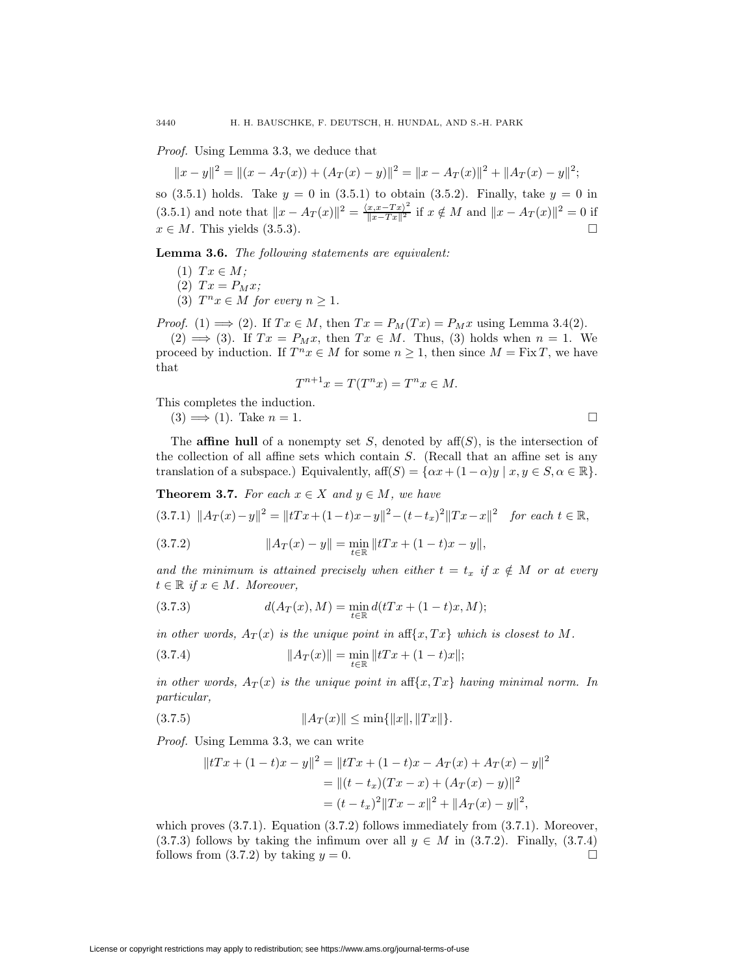Proof. Using Lemma 3.3, we deduce that

$$
||x - y||2 = ||(x - A_T(x)) + (A_T(x) - y)||2 = ||x - A_T(x)||2 + ||A_T(x) - y||2;
$$

so (3.5.1) holds. Take  $y = 0$  in (3.5.1) to obtain (3.5.2). Finally, take  $y = 0$  in (3.5.1) and note that  $||x - A_T(x)||^2 = \frac{\langle x, x - Tx \rangle^2}{||x - Tx||^2}$  if  $x \notin M$  and  $||x - A_T(x)||^2 = 0$  if  $x \in M$ . This yields (3.5.3).

**Lemma 3.6.** The following statements are equivalent:

- (1)  $Tx \in M;$
- (2)  $Tx = P_M x;$
- (3)  $T^n x \in M$  for every  $n \geq 1$ .

*Proof.* (1)  $\implies$  (2). If  $Tx \in M$ , then  $Tx = P_M(Tx) = P_Mx$  using Lemma 3.4(2).

 $(2) \implies (3)$ . If  $Tx = P_Mx$ , then  $Tx \in M$ . Thus, (3) holds when  $n = 1$ . We proceed by induction. If  $T^n x \in M$  for some  $n \geq 1$ , then since  $M = \text{Fix } T$ , we have that

$$
T^{n+1}x = T(T^n x) = T^n x \in M.
$$

This completes the induction.

 $(3) \implies (1)$ . Take  $n = 1$ .

The **affine hull** of a nonempty set S, denoted by  $\text{aff}(S)$ , is the intersection of the collection of all affine sets which contain S. (Recall that an affine set is any translation of a subspace.) Equivalently, aff $(S) = {\alpha x + (1 - \alpha)y \mid x, y \in S, \alpha \in \mathbb{R}}$ .

**Theorem 3.7.** For each  $x \in X$  and  $y \in M$ , we have

$$
(3.7.1) \ \|A_T(x) - y\|^2 = \|tTx + (1-t)x - y\|^2 - (t-t_x)^2 \|Tx - x\|^2 \quad \text{for each } t \in \mathbb{R},
$$

(3.7.2) 
$$
||A_T(x) - y|| = \min_{t \in \mathbb{R}} ||tTx + (1-t)x - y||,
$$

and the minimum is attained precisely when either  $t = t_x$  if  $x \notin M$  or at every  $t \in \mathbb{R}$  if  $x \in M$ . Moreover,

(3.7.3) 
$$
d(A_T(x), M) = \min_{t \in \mathbb{R}} d(tTx + (1-t)x, M);
$$

in other words,  $A_T(x)$  is the unique point in aff $\{x, Tx\}$  which is closest to M.

(3.7.4) 
$$
||A_T(x)|| = \min_{t \in \mathbb{R}} ||tTx + (1-t)x||;
$$

in other words,  $A_T(x)$  is the unique point in aff $\{x, Tx\}$  having minimal norm. In particular,

$$
(3.7.5) \t\t\t ||A_T(x)|| \le \min\{||x||, ||Tx||\}.
$$

Proof. Using Lemma 3.3, we can write

$$
||tTx + (1-t)x - y||2 = ||tTx + (1-t)x - A_T(x) + A_T(x) - y||2
$$
  
= 
$$
||(t - t_x)(Tx - x) + (A_T(x) - y)||2
$$
  
= 
$$
(t - t_x)^2 ||Tx - x||2 + ||A_T(x) - y||2,
$$

which proves  $(3.7.1)$ . Equation  $(3.7.2)$  follows immediately from  $(3.7.1)$ . Moreover, (3.7.3) follows by taking the infimum over all  $y \in M$  in (3.7.2). Finally, (3.7.4) follows from  $(3.7.2)$  by taking  $y = 0$ .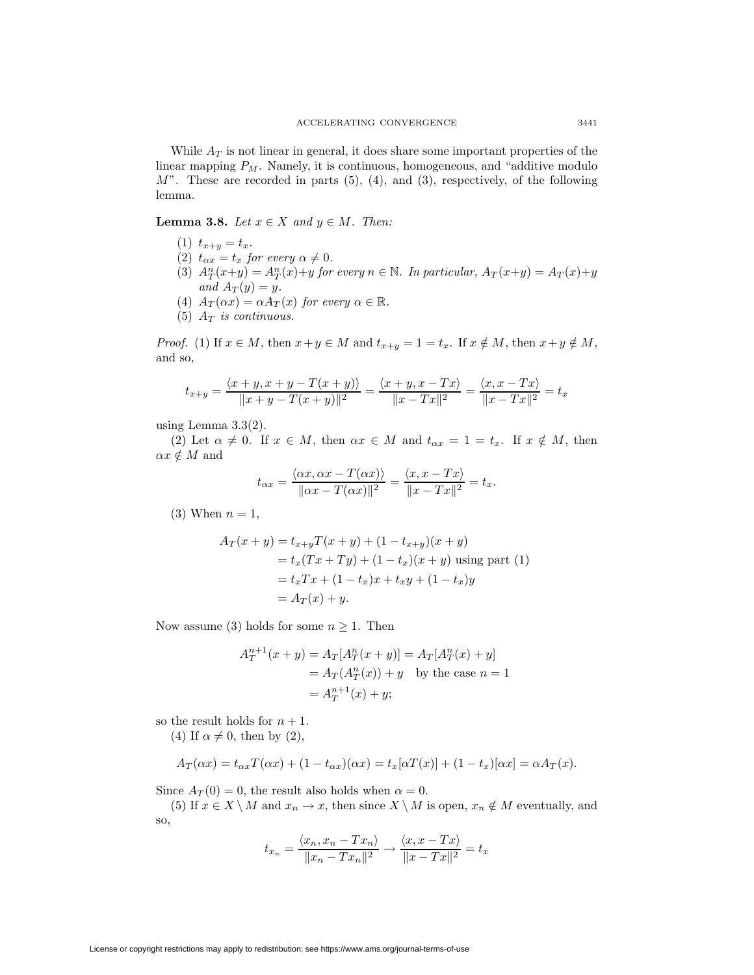While  $A_T$  is not linear in general, it does share some important properties of the linear mapping  $P_M$ . Namely, it is continuous, homogeneous, and "additive modulo  $M$ ". These are recorded in parts  $(5)$ ,  $(4)$ , and  $(3)$ , respectively, of the following lemma.

**Lemma 3.8.** Let  $x \in X$  and  $y \in M$ . Then:

- (1)  $t_{x+y} = t_x$ .
- (2)  $t_{\alpha x} = t_x$  for every  $\alpha \neq 0$ .
- (3)  $A_T^n(x+y) = A_T^n(x)+y$  for every  $n \in \mathbb{N}$ . In particular,  $A_T(x+y) = A_T(x)+y$ and  $A_T(y) = y$ .
- (4)  $A_T(\alpha x) = \alpha A_T(x)$  for every  $\alpha \in \mathbb{R}$ .
- (5)  $A_T$  is continuous.

*Proof.* (1) If  $x \in M$ , then  $x+y \in M$  and  $t_{x+y} = 1 = t_x$ . If  $x \notin M$ , then  $x+y \notin M$ , and so,

$$
t_{x+y} = \frac{\langle x+y, x+y-T(x+y) \rangle}{\|x+y-T(x+y)\|^2} = \frac{\langle x+y, x-Tx \rangle}{\|x-Tx\|^2} = \frac{\langle x, x-Tx \rangle}{\|x-Tx\|^2} = t_x
$$

using Lemma  $3.3(2)$ .

(2) Let  $\alpha \neq 0$ . If  $x \in M$ , then  $\alpha x \in M$  and  $t_{\alpha x} = 1 = t_x$ . If  $x \notin M$ , then  $\alpha x \notin M$  and

$$
t_{\alpha x} = \frac{\langle \alpha x, \alpha x - T(\alpha x) \rangle}{\| \alpha x - T(\alpha x) \|^2} = \frac{\langle x, x - Tx \rangle}{\| x - Tx \|^2} = t_x.
$$

(3) When  $n = 1$ ,

$$
A_T(x + y) = t_{x+y}T(x + y) + (1 - t_{x+y})(x + y)
$$
  
=  $t_x(Tx + Ty) + (1 - t_x)(x + y)$  using part (1)  
=  $t_xTx + (1 - t_x)x + t_xy + (1 - t_x)y$   
=  $A_T(x) + y$ .

Now assume (3) holds for some  $n \geq 1$ . Then

$$
A_T^{n+1}(x+y) = A_T[A_T^n(x+y)] = A_T[A_T^n(x) + y]
$$
  
=  $A_T(A_T^n(x)) + y$  by the case  $n = 1$   
=  $A_T^{n+1}(x) + y$ ;

so the result holds for  $n + 1$ .

(4) If  $\alpha \neq 0$ , then by (2),

$$
A_T(\alpha x) = t_{\alpha x}T(\alpha x) + (1 - t_{\alpha x})(\alpha x) = t_x[\alpha T(x)] + (1 - t_x)[\alpha x] = \alpha A_T(x).
$$

Since  $A_T(0) = 0$ , the result also holds when  $\alpha = 0$ .

(5) If  $x \in X \setminus M$  and  $x_n \to x$ , then since  $X \setminus M$  is open,  $x_n \notin M$  eventually, and so,

$$
t_{x_n} = \frac{\langle x_n, x_n - Tx_n \rangle}{\|x_n - Tx_n\|^2} \rightarrow \frac{\langle x, x - Tx \rangle}{\|x - Tx\|^2} = t_x
$$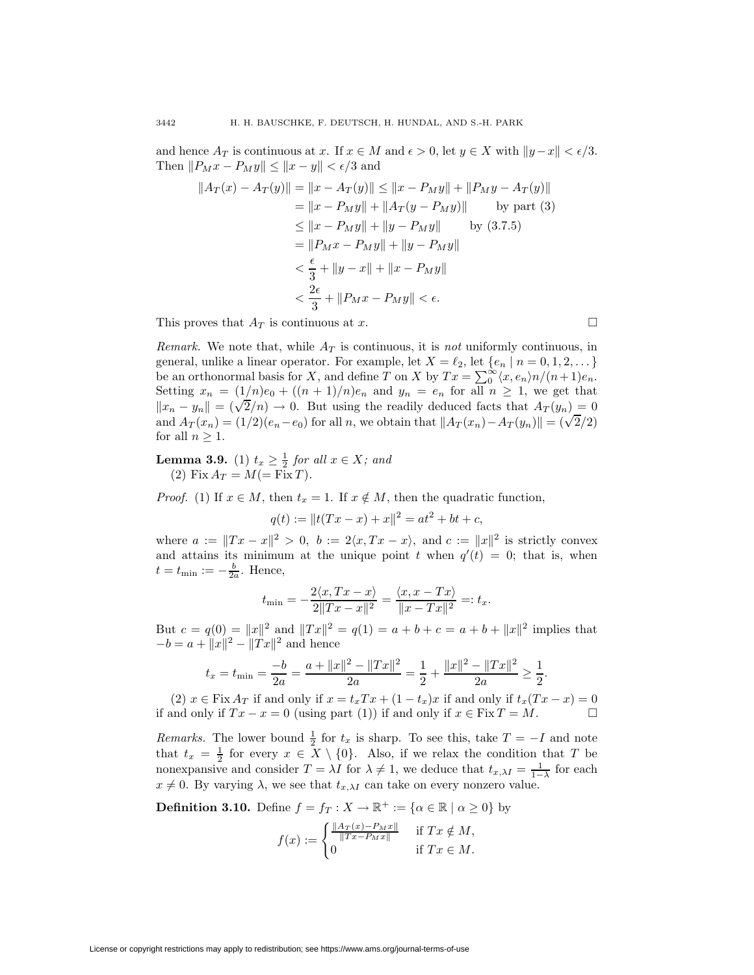and hence  $A_T$  is continuous at x. If  $x \in M$  and  $\epsilon > 0$ , let  $y \in X$  with  $||y-x|| < \epsilon/3$ . Then  $||P_M x - P_M y|| \le ||x - y|| < \epsilon/3$  and

$$
||A_T(x) - A_T(y)|| = ||x - A_T(y)|| \le ||x - P_My|| + ||P_My - A_T(y)||
$$
  
\n
$$
= ||x - P_My|| + ||A_T(y - P_My)|| \qquad \text{by part (3)}
$$
  
\n
$$
\le ||x - P_My|| + ||y - P_My|| \qquad \text{by (3.7.5)}
$$
  
\n
$$
= ||P_Mx - P_My|| + ||y - P_My||
$$
  
\n
$$
< \frac{\epsilon}{3} + ||y - x|| + ||x - P_My||
$$
  
\n
$$
< \frac{2\epsilon}{3} + ||P_Mx - P_My|| < \epsilon.
$$

This proves that  $A_T$  is continuous at x.

*Remark.* We note that, while  $A_T$  is continuous, it is not uniformly continuous, in general, unlike a linear operator. For example, let  $X = \ell_2$ , let  $\{e_n | n = 0, 1, 2, ...\}$ be an orthonormal basis for X, and define T on X by  $Tx = \sum_{0}^{\infty} \langle x, e_n \rangle n/(n+1)e_n$ . Setting  $x_n = (1/n)e_0 + ((n+1)/n)e_n$  and  $y_n = e_n$  for all  $n \ge 1$ , we get that  $||x_n - y_n|| = (\sqrt{2}/n) \rightarrow 0$ . But using the readily deduced facts that  $A_T(y_n)=0$ and  $A_T(x_n) = (1/2)(e_n - e_0)$  for all n, we obtain that  $||A_T(x_n) - A_T(y_n)|| = (\sqrt{2}/2)$ for all  $n \geq 1$ .

**Lemma 3.9.** (1)  $t_x \geq \frac{1}{2}$  for all  $x \in X$ ; and (2) Fix  $A_T = M (= Fix T)$ .

*Proof.* (1) If  $x \in M$ , then  $t_x = 1$ . If  $x \notin M$ , then the quadratic function,

 $q(t) := ||t(Tx - x) + x||^2 = at^2 + bt + c,$ 

where  $a := ||Tx - x||^2 > 0$ ,  $b := 2\langle x, Tx - x \rangle$ , and  $c := ||x||^2$  is strictly convex and attains its minimum at the unique point t when  $q'(t) = 0$ ; that is, when  $t = t_{\min} := -\frac{b}{2a}$ . Hence,

$$
t_{\min} = -\frac{2\langle x, Tx - x \rangle}{2\|Tx - x\|^2} = \frac{\langle x, x - Tx \rangle}{\|x - Tx\|^2} =: t_x.
$$

But  $c = q(0) = ||x||^2$  and  $||Tx||^2 = q(1) = a + b + c = a + b + ||x||^2$  implies that  $-b = a + ||x||^2 - ||Tx||^2$  and hence

$$
t_x = t_{\min} = \frac{-b}{2a} = \frac{a + ||x||^2 - ||Tx||^2}{2a} = \frac{1}{2} + \frac{||x||^2 - ||Tx||^2}{2a} \ge \frac{1}{2}.
$$

(2)  $x \in \text{Fix } A_T$  if and only if  $x = t_xTx + (1 - t_x)x$  if and only if  $t_x(Tx - x) = 0$ if and only if  $Tx - x = 0$  (using part (1)) if and only if  $x \in Fix T = M$ .

*Remarks.* The lower bound  $\frac{1}{2}$  for  $t_x$  is sharp. To see this, take  $T = -I$  and note that  $t_x = \frac{1}{2}$  for every  $x \in X \setminus \{0\}$ . Also, if we relax the condition that T be nonexpansive and consider  $T = \lambda I$  for  $\lambda \neq 1$ , we deduce that  $t_{x,\lambda} = \frac{1}{1-\lambda}$  for each  $x \neq 0$ . By varying  $\lambda$ , we see that  $t_{x,\lambda}$  can take on every nonzero value.

**Definition 3.10.** Define  $f = f_T : X \to \mathbb{R}^+ := {\alpha \in \mathbb{R} \mid \alpha \geq 0}$  by

$$
f(x) := \begin{cases} \frac{\|A_T(x) - P_M x\|}{\|Tx - P_M x\|} & \text{if } Tx \notin M, \\ 0 & \text{if } Tx \in M. \end{cases}
$$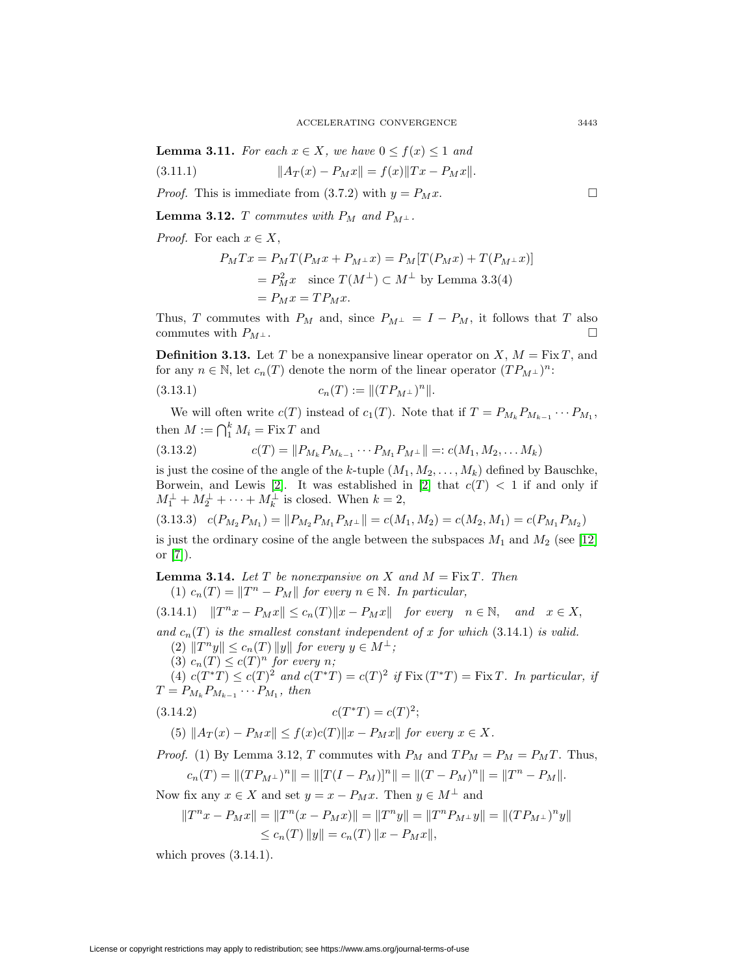**Lemma 3.11.** For each  $x \in X$ , we have  $0 \le f(x) \le 1$  and

(3.11.1) 
$$
||A_T(x) - P_Mx|| = f(x)||Tx - P_Mx||.
$$

*Proof.* This is immediate from (3.7.2) with  $y = P_M x$ .

**Lemma 3.12.** T commutes with  $P_M$  and  $P_{M^{\perp}}$ .

*Proof.* For each  $x \in X$ ,

$$
P_M T x = P_M T (P_M x + P_{M^{\perp}} x) = P_M [T (P_M x) + T (P_{M^{\perp}} x)]
$$
  
=  $P_M^2 x$  since  $T(M^{\perp}) \subset M^{\perp}$  by Lemma 3.3(4)  
=  $P_M x = T P_M x$ .

Thus, T commutes with  $P_M$  and, since  $P_{M^{\perp}} = I - P_M$ , it follows that T also commutes with  $P_{M^{\perp}}$ .

**Definition 3.13.** Let T be a nonexpansive linear operator on X,  $M = Fix T$ , and for any  $n \in \mathbb{N}$ , let  $c_n(T)$  denote the norm of the linear operator  $(T P_{M^{\perp}})^n$ :

(3.13.1) 
$$
c_n(T) := ||(TP_{M^{\perp}})^n||.
$$

We will often write  $c(T)$  instead of  $c_1(T)$ . Note that if  $T = P_{M_k} P_{M_{k-1}} \cdots P_{M_1}$ , then  $M := \bigcap_1^k M_i = \text{Fix } T$  and

$$
(3.13.2) \t\t c(T) = ||P_{M_k} P_{M_{k-1}} \cdots P_{M_1} P_{M^\perp}|| =: c(M_1, M_2, \ldots M_k)
$$

is just the cosine of the angle of the k-tuple  $(M_1, M_2, \ldots, M_k)$  defined by Bauschke, Borwein, and Lewis [\[2\]](#page-27-0). It was established in [2] that  $c(T) < 1$  if and only if  $M_1^{\perp} + M_2^{\perp} + \cdots + M_k^{\perp}$  is closed. When  $k = 2$ ,

$$
(3.13.3) \quad c(P_{M_2}P_{M_1}) = ||P_{M_2}P_{M_1}P_{M_1}|| = c(M_1, M_2) = c(M_2, M_1) = c(P_{M_1}P_{M_2})
$$

is just the ordinary cosine of the angle between the subspaces  $M_1$  and  $M_2$  (see [\[12\]](#page-28-12) or [\[7\]](#page-28-13)).

**Lemma 3.14.** Let T be nonexpansive on X and  $M = Fix T$ . Then (1)  $c_n(T) = ||T^n - P_M||$  for every  $n \in \mathbb{N}$ . In particular,

$$
(3.14.1) \quad ||T^nx - P_Mx|| \le c_n(T)||x - P_Mx|| \quad \text{for every} \quad n \in \mathbb{N}, \quad \text{and} \quad x \in X,
$$

and  $c_n(T)$  is the smallest constant independent of x for which (3.14.1) is valid. (2)  $||T^n y|| \leq c_n(T) ||y||$  for every  $y \in M^{\perp}$ ;

(3)  $c_n(T) \leq c(T)^n$  for every n;

(4)  $c(T^*T) \leq c(T)^2$  and  $c(T^*T) = c(T)^2$  if  $Fix(T^*T) = FixT$ . In particular, if  $T = P_{M_k} P_{M_{k-1}} \cdots P_{M_1}$ , then

$$
(3.14.2) \t\t c(T^*T) = c(T)^2;
$$

(5) 
$$
||A_T(x) - P_Mx|| \leq f(x)c(T)||x - P_Mx||
$$
 for every  $x \in X$ .

*Proof.* (1) By Lemma 3.12, T commutes with  $P_M$  and  $TP_M = P_M = P_M T$ . Thus,

$$
c_n(T) = ||(TP_{M^{\perp}})^n|| = ||[T(I - P_M)]^n|| = ||(T - P_M)^n|| = ||T^n - P_M||.
$$

Now fix any  $x \in X$  and set  $y = x - P_M x$ . Then  $y \in M^{\perp}$  and

$$
||T^{n}x - P_{M}x|| = ||T^{n}(x - P_{M}x)|| = ||T^{n}y|| = ||T^{n}P_{M^{\perp}}y|| = ||(TP_{M^{\perp}})^{n}y||
$$
  

$$
\leq c_{n}(T) ||y|| = c_{n}(T) ||x - P_{M}x||,
$$

which proves  $(3.14.1)$ .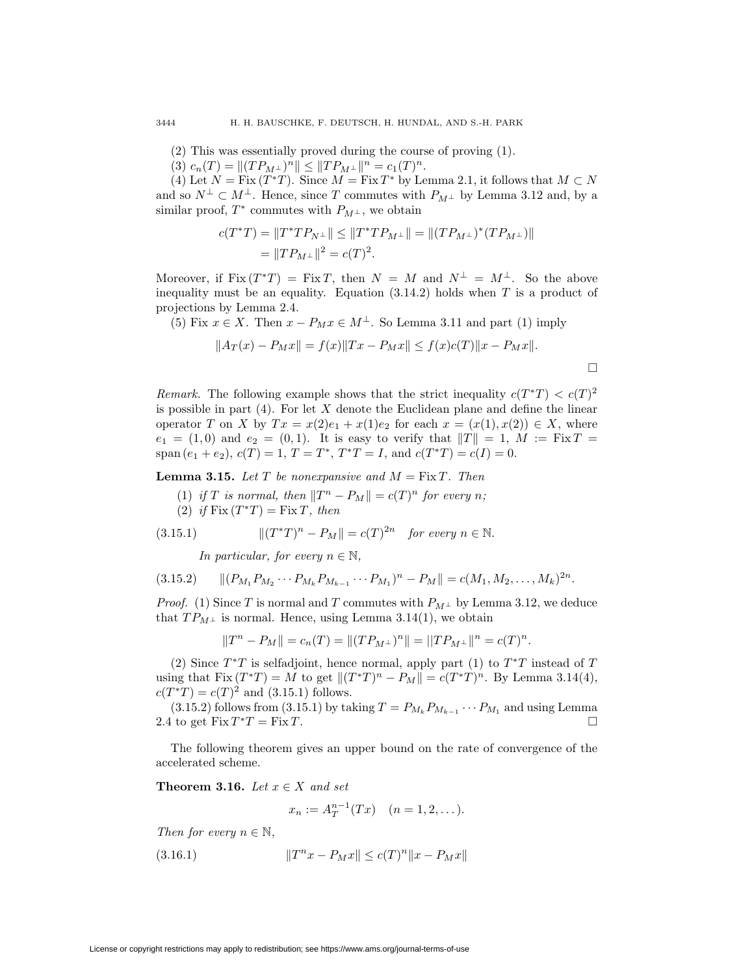(2) This was essentially proved during the course of proving (1).

(3)  $c_n(T) = ||(TP_{M^{\perp}})^n|| \leq ||TP_{M^{\perp}}||^n = c_1(T)^n$ .

(4) Let  $N = \text{Fix } (T^*T)$ . Since  $M = \text{Fix } T^*$  by Lemma 2.1, it follows that  $M \subset N$ and so  $N^{\perp} \subset M^{\perp}$ . Hence, since T commutes with  $P_{M^{\perp}}$  by Lemma 3.12 and, by a similar proof,  $T^*$  commutes with  $P_{M^{\perp}}$ , we obtain

$$
c(T^*T) = ||T^*TP_{N^{\perp}}|| \le ||T^*TP_{M^{\perp}}|| = ||(TP_{M^{\perp}})^*(TP_{M^{\perp}})||
$$
  
=  $||TP_{M^{\perp}}||^2 = c(T)^2$ .

Moreover, if Fix  $(T^*T) = \text{Fix } T$ , then  $N = M$  and  $N^{\perp} = M^{\perp}$ . So the above inequality must be an equality. Equation  $(3.14.2)$  holds when T is a product of projections by Lemma 2.4.

(5) Fix  $x \in X$ . Then  $x - P_M x \in M^{\perp}$ . So Lemma 3.11 and part (1) imply

$$
||A_T(x) - P_Mx|| = f(x)||Tx - P_Mx|| \le f(x)c(T)||x - P_Mx||.
$$

Remark. The following example shows that the strict inequality  $c(T^*T) < c(T)^2$ is possible in part  $(4)$ . For let X denote the Euclidean plane and define the linear operator T on X by  $Tx = x(2)e_1 + x(1)e_2$  for each  $x = (x(1), x(2)) \in X$ , where  $e_1 = (1, 0)$  and  $e_2 = (0, 1)$ . It is easy to verify that  $||T|| = 1$ ,  $M := Fix T =$ span  $(e_1 + e_2)$ ,  $c(T) = 1$ ,  $T = T^*$ ,  $T^*T = I$ , and  $c(T^*T) = c(I) = 0$ .

**Lemma 3.15.** Let T be nonexpansive and  $M = Fix T$ . Then

(1) if T is normal, then  $||T^n - P_M|| = c(T)^n$  for every n; (2) if  $Fix(T^*T) = Fix T$ , then

(3.15.1) 
$$
||(T^*T)^n - P_M|| = c(T)^{2n} \text{ for every } n \in \mathbb{N}.
$$

In particular, for every  $n \in \mathbb{N}$ ,

$$
(3.15.2) \qquad ||(P_{M_1}P_{M_2}\cdots P_{M_k}P_{M_{k-1}}\cdots P_{M_1})^n - P_M|| = c(M_1, M_2, \ldots, M_k)^{2n}.
$$

*Proof.* (1) Since T is normal and T commutes with  $P_{M^{\perp}}$  by Lemma 3.12, we deduce that  $TP_{M^{\perp}}$  is normal. Hence, using Lemma 3.14(1), we obtain

$$
||T^{n} - P_{M}|| = c_{n}(T) = ||(TP_{M^{\perp}})^{n}|| = ||TP_{M^{\perp}}||^{n} = c(T)^{n}.
$$

(2) Since  $T^*T$  is selfadjoint, hence normal, apply part (1) to  $T^*T$  instead of T using that Fix  $(T^*T) = M$  to get  $||(T^*T)^n - P_M|| = c(T^*T)^n$ . By Lemma 3.14(4),  $c(T^*T) = c(T)^2$  and (3.15.1) follows.

(3.15.2) follows from (3.15.1) by taking  $T = P_{M_k} P_{M_{k-1}} \cdots P_{M_1}$  and using Lemma<br>the set Fix  $T^*T =$  Fix  $T$ 2.4 to get  $Fix T^*T = Fix T$ .

The following theorem gives an upper bound on the rate of convergence of the accelerated scheme.

**Theorem 3.16.** Let  $x \in X$  and set

$$
x_n := A_T^{n-1}(Tx) \quad (n = 1, 2, \dots).
$$

Then for every  $n \in \mathbb{N}$ ,

(3.16.1) 
$$
||T^{n}x - P_{M}x|| \leq c(T)^{n}||x - P_{M}x||
$$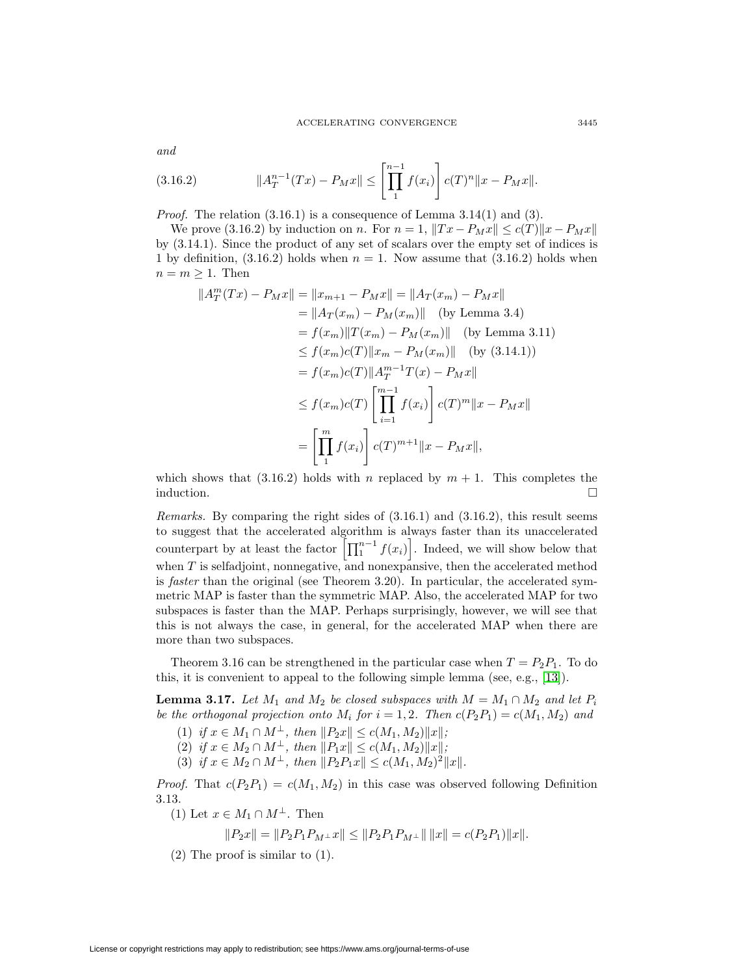and

(3.16.2) 
$$
||A_T^{n-1}(Tx) - P_Mx|| \le \left[\prod_1^{n-1} f(x_i)\right] c(T)^n ||x - P_Mx||.
$$

*Proof.* The relation  $(3.16.1)$  is a consequence of Lemma  $3.14(1)$  and  $(3)$ .

We prove (3.16.2) by induction on n. For  $n = 1$ ,  $||Tx - P_Mx|| \le c(T) ||x - P_Mx||$ by (3.14.1). Since the product of any set of scalars over the empty set of indices is 1 by definition,  $(3.16.2)$  holds when  $n = 1$ . Now assume that  $(3.16.2)$  holds when  $n = m \geq 1$ . Then

$$
||A_T^m(Tx) - P_Mx|| = ||x_{m+1} - P_Mx|| = ||A_T(x_m) - P_Mx||
$$
  
\n
$$
= ||A_T(x_m) - P_M(x_m)|| \text{ (by Lemma 3.4)}
$$
  
\n
$$
= f(x_m)||T(x_m) - P_M(x_m)|| \text{ (by Lemma 3.11)}
$$
  
\n
$$
\leq f(x_m)c(T)||x_m - P_M(x_m)|| \text{ (by (3.14.1))}
$$
  
\n
$$
= f(x_m)c(T)||A_T^{m-1}T(x) - P_Mx||
$$
  
\n
$$
\leq f(x_m)c(T)\left[\prod_{i=1}^{m-1} f(x_i)\right]c(T)^m||x - P_Mx||
$$
  
\n
$$
= \left[\prod_{i=1}^{m} f(x_i)\right]c(T)^{m+1}||x - P_Mx||,
$$

which shows that (3.16.2) holds with n replaced by  $m + 1$ . This completes the induction.  $\Box$ 

Remarks. By comparing the right sides of (3.16.1) and (3.16.2), this result seems to suggest that the accelerated algorithm is always faster than its unaccelerated counterpart by at least the factor  $\left[\prod_{1}^{n-1} f(x_i)\right]$ . Indeed, we will show below that when  $T$  is selfadjoint, nonnegative, and nonexpansive, then the accelerated method is faster than the original (see Theorem 3.20). In particular, the accelerated symmetric MAP is faster than the symmetric MAP. Also, the accelerated MAP for two subspaces is faster than the MAP. Perhaps surprisingly, however, we will see that this is not always the case, in general, for the accelerated MAP when there are more than two subspaces.

Theorem 3.16 can be strengthened in the particular case when  $T = P_2P_1$ . To do this, it is convenient to appeal to the following simple lemma (see, e.g., [\[13\]](#page-28-5)).

**Lemma 3.17.** Let  $M_1$  and  $M_2$  be closed subspaces with  $M = M_1 \cap M_2$  and let  $P_i$ be the orthogonal projection onto  $M_i$  for  $i = 1, 2$ . Then  $c(P_2P_1) = c(M_1, M_2)$  and

- (1) if  $x \in M_1 \cap M^{\perp}$ , then  $||P_2x|| \le c(M_1, M_2)||x||$ ;
- (2) if  $x \in M_2 \cap M^{\perp}$ , then  $||P_1x|| \le c(M_1, M_2)||x||$ ;
- (3) if  $x \in M_2 \cap M^{\perp}$ , then  $||P_2P_1x|| \le c(M_1, M_2)^2||x||$ .

*Proof.* That  $c(P_2P_1) = c(M_1, M_2)$  in this case was observed following Definition 3.13.

(1) Let  $x \in M_1 \cap M^{\perp}$ . Then

$$
\|P_2x\|=\|P_2P_1P_{M^\perp}x\|\leq \|P_2P_1P_{M^\perp}\|\,\|x\|=c(P_2P_1)\|x\|.
$$

(2) The proof is similar to (1).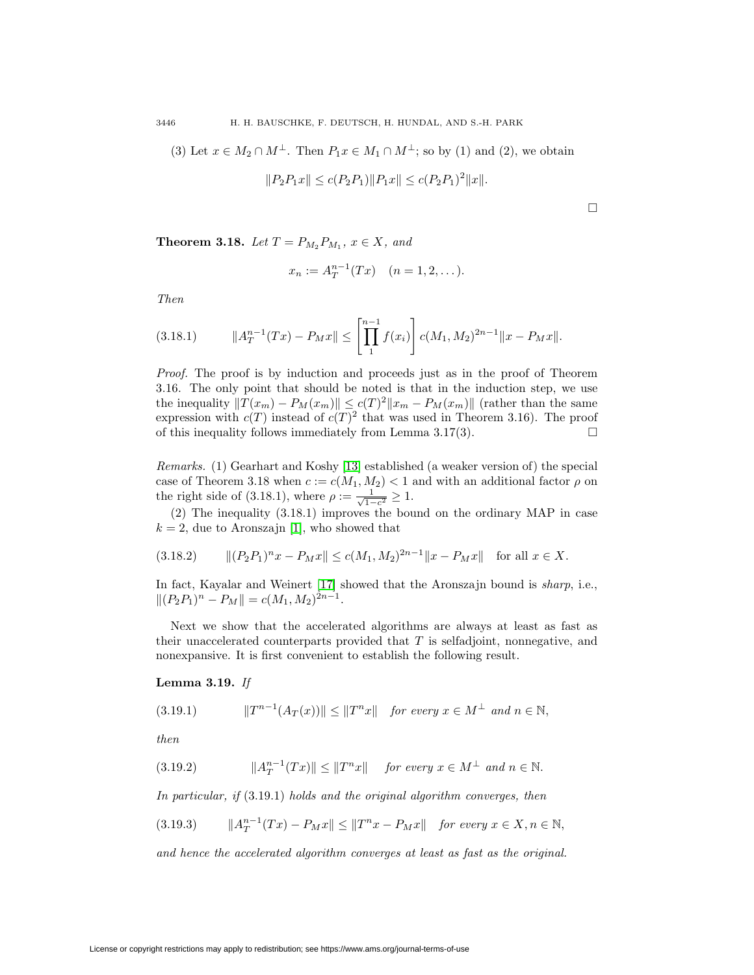(3) Let  $x \in M_2 \cap M^{\perp}$ . Then  $P_1x \in M_1 \cap M^{\perp}$ ; so by (1) and (2), we obtain

$$
||P_2P_1x|| \le c(P_2P_1)||P_1x|| \le c(P_2P_1)^2||x||.
$$

 $\Box$ 

**Theorem 3.18.** Let  $T = P_{M_2} P_{M_1}$ ,  $x \in X$ , and

$$
x_n := A_T^{n-1}(Tx) \quad (n = 1, 2, \dots).
$$

Then

$$
(3.18.1) \t\t ||A_T^{n-1}(Tx) - P_Mx|| \le \left[\prod_1^{n-1} f(x_i)\right] c(M_1, M_2)^{2n-1} ||x - P_Mx||.
$$

Proof. The proof is by induction and proceeds just as in the proof of Theorem 3.16. The only point that should be noted is that in the induction step, we use the inequality  $||T(x_m) - P_M(x_m)|| \le c(T)^2 ||x_m - P_M(x_m)||$  (rather than the same expression with  $c(T)$  instead of  $c(T)^2$  that was used in Theorem 3.16). The proof of this inequality follows immediately from Lemma 3.17(3).  $\square$ 

Remarks. (1) Gearhart and Koshy [\[13\]](#page-28-5) established (a weaker version of) the special case of Theorem 3.18 when  $c := c(M_1, M_2) < 1$  and with an additional factor  $\rho$  on the right side of (3.18.1), where  $\rho := \frac{1}{\sqrt{1-c^2}} \ge 1$ .

(2) The inequality (3.18.1) improves the bound on the ordinary MAP in case  $k = 2$ , due to Aronszajn [\[1\]](#page-27-2), who showed that

$$
(3.18.2) \t ||(P_2P_1)^nx - P_Mx|| \le c(M_1, M_2)^{2n-1} ||x - P_Mx|| \t for all  $x \in X$ .
$$

In fact, Kayalar and Weinert [\[17\]](#page-28-14) showed that the Aronszajn bound is sharp, i.e.,  $||(P_2P_1)^n - P_M|| = c(M_1, M_2)^{2n-1}.$ 

Next we show that the accelerated algorithms are always at least as fast as their unaccelerated counterparts provided that  $T$  is selfadjoint, nonnegative, and nonexpansive. It is first convenient to establish the following result.

## **Lemma 3.19.** If

$$
(3.19.1) \t\t\t ||T^{n-1}(A_T(x))|| \le ||T^n x|| \t\tfor every x \in M^{\perp} \t\t and n \in \mathbb{N},
$$

then

(3.19.2) 
$$
||A_T^{n-1}(Tx)|| \le ||T^nx|| \quad \text{for every } x \in M^{\perp} \text{ and } n \in \mathbb{N}.
$$

In particular, if (3.19.1) holds and the original algorithm converges, then

$$
(3.19.3) \t ||A_T^{n-1}(Tx) - P_Mx|| \le ||T^nx - P_Mx|| \t for every x \in X, n \in \mathbb{N},
$$

and hence the accelerated algorithm converges at least as fast as the original.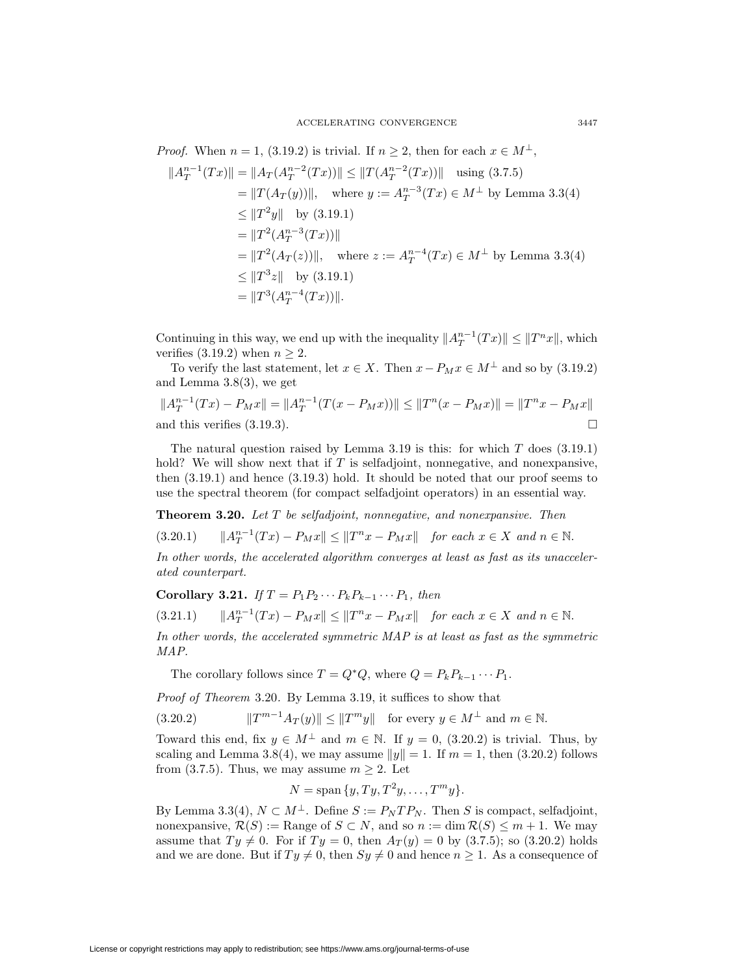*Proof.* When  $n = 1$ , (3.19.2) is trivial. If  $n \geq 2$ , then for each  $x \in M^{\perp}$ ,

$$
||A_T^{n-1}(Tx)|| = ||A_T(A_T^{n-2}(Tx))|| \le ||T(A_T^{n-2}(Tx))|| \quad \text{using (3.7.5)}
$$
  
\n
$$
= ||T(A_T(y))||, \quad \text{where } y := A_T^{n-3}(Tx) \in M^{\perp} \text{ by Lemma 3.3(4)}
$$
  
\n
$$
\le ||T^2y|| \quad \text{by (3.19.1)}
$$
  
\n
$$
= ||T^2(A_T^{n-3}(Tx))||
$$
  
\n
$$
= ||T^2(A_T(z))||, \quad \text{where } z := A_T^{n-4}(Tx) \in M^{\perp} \text{ by Lemma 3.3(4)}
$$
  
\n
$$
\le ||T^3z|| \quad \text{by (3.19.1)}
$$
  
\n
$$
= ||T^3(A_T^{n-4}(Tx))||.
$$

Continuing in this way, we end up with the inequality  $||A_T^{n-1}(Tx)|| \le ||T^n x||$ , which verifies  $(3.19.2)$  when  $n \geq 2$ .

To verify the last statement, let  $x \in X$ . Then  $x - P_M x \in M^{\perp}$  and so by (3.19.2) and Lemma 3.8(3), we get

$$
||A_T^{n-1}(Tx) - P_Mx|| = ||A_T^{n-1}(T(x - P_Mx))|| \le ||T^n(x - P_Mx)|| = ||T^nx - P_Mx||
$$
  
and this verifies (3.19.3).

The natural question raised by Lemma 3.19 is this: for which  $T$  does  $(3.19.1)$ hold? We will show next that if  $T$  is selfadjoint, nonnegative, and nonexpansive, then (3.19.1) and hence (3.19.3) hold. It should be noted that our proof seems to use the spectral theorem (for compact selfadjoint operators) in an essential way.

**Theorem 3.20.** Let T be selfadjoint, nonnegative, and nonexpansive. Then

$$
(3.20.1) \t ||A_T^{n-1}(Tx) - P_Mx|| \le ||T^nx - P_Mx|| \t for each  $x \in X$  and  $n \in \mathbb{N}$ .
$$

In other words, the accelerated algorithm converges at least as fast as its unaccelerated counterpart.

**Corollary 3.21.** If  $T = P_1 P_2 \cdots P_k P_{k-1} \cdots P_1$ , then

$$
(3.21.1) \t ||A_T^{n-1}(Tx) - P_Mx|| \le ||T^nx - P_Mx|| \t for each  $x \in X$  and  $n \in \mathbb{N}$ .
$$

In other words, the accelerated symmetric MAP is at least as fast as the symmetric MAP.

The corollary follows since  $T = Q^*Q$ , where  $Q = P_k P_{k-1} \cdots P_1$ .

Proof of Theorem 3.20. By Lemma 3.19, it suffices to show that

$$
(3.20.2) \t\t ||T^{m-1}A_T(y)|| \le ||T^m y|| \tfor every y \in M^{\perp} and m \in \mathbb{N}.
$$

Toward this end, fix  $y \in M^{\perp}$  and  $m \in \mathbb{N}$ . If  $y = 0$ , (3.20.2) is trivial. Thus, by scaling and Lemma 3.8(4), we may assume  $||y|| = 1$ . If  $m = 1$ , then (3.20.2) follows from (3.7.5). Thus, we may assume  $m \geq 2$ . Let

$$
N = \text{span}\{y, Ty, T^2y, \dots, T^m y\}.
$$

By Lemma 3.3(4),  $N \subset M^{\perp}$ . Define  $S := P_N T P_N$ . Then S is compact, selfadjoint, nonexpansive,  $\mathcal{R}(S) := \text{Range of } S \subset N$ , and so  $n := \dim \mathcal{R}(S) \leq m + 1$ . We may assume that  $Ty \neq 0$ . For if  $Ty = 0$ , then  $A_T(y) = 0$  by (3.7.5); so (3.20.2) holds and we are done. But if  $Ty \neq 0$ , then  $Sy \neq 0$  and hence  $n \geq 1$ . As a consequence of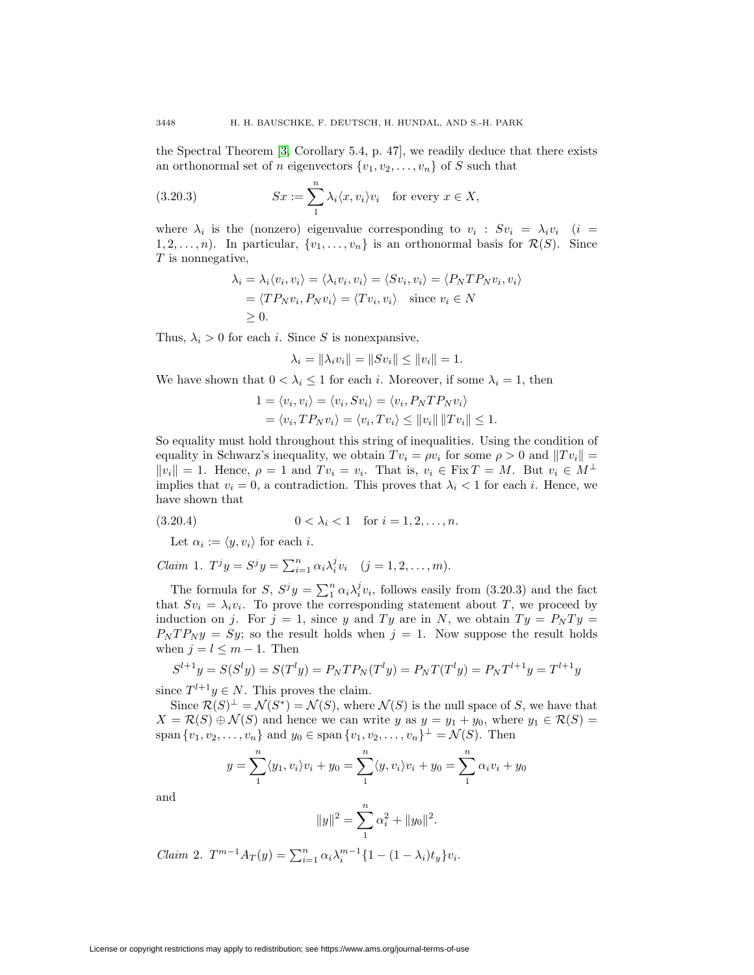the Spectral Theorem [\[3,](#page-27-1) Corollary 5.4, p. 47], we readily deduce that there exists an orthonormal set of *n* eigenvectors  $\{v_1, v_2, \ldots, v_n\}$  of *S* such that

(3.20.3) 
$$
Sx := \sum_{1}^{n} \lambda_i \langle x, v_i \rangle v_i \text{ for every } x \in X,
$$

where  $\lambda_i$  is the (nonzero) eigenvalue corresponding to  $v_i$ :  $Sv_i = \lambda_i v_i$  (i =  $1, 2, \ldots, n$ . In particular,  $\{v_1, \ldots, v_n\}$  is an orthonormal basis for  $\mathcal{R}(S)$ . Since  $T$  is nonnegative,

$$
\lambda_i = \lambda_i \langle v_i, v_i \rangle = \langle \lambda_i v_i, v_i \rangle = \langle Sv_i, v_i \rangle = \langle P_N T P_N v_i, v_i \rangle
$$
  
=  $\langle T P_N v_i, P_N v_i \rangle = \langle Tv_i, v_i \rangle$  since  $v_i \in N$   
 $\geq 0$ .

Thus,  $\lambda_i > 0$  for each i. Since S is nonexpansive,

$$
\lambda_i = \|\lambda_i v_i\| = \|S v_i\| \le \|v_i\| = 1.
$$

We have shown that  $0 < \lambda_i \leq 1$  for each i. Moreover, if some  $\lambda_i = 1$ , then

$$
1 = \langle v_i, v_i \rangle = \langle v_i, Sv_i \rangle = \langle v_i, P_N T P_N v_i \rangle
$$
  
=  $\langle v_i, T P_N v_i \rangle = \langle v_i, Tv_i \rangle \le ||v_i|| ||Tv_i|| \le 1.$ 

So equality must hold throughout this string of inequalities. Using the condition of equality in Schwarz's inequality, we obtain  $Tv_i = \rho v_i$  for some  $\rho > 0$  and  $||Tv_i|| =$  $||v_i|| = 1$ . Hence,  $\rho = 1$  and  $Tv_i = v_i$ . That is,  $v_i \in \text{Fix } T = M$ . But  $v_i \in M^{\perp}$ implies that  $v_i = 0$ , a contradiction. This proves that  $\lambda_i < 1$  for each i. Hence, we have shown that

(3.20.4) 
$$
0 < \lambda_i < 1 \quad \text{for } i = 1, 2, \dots, n.
$$

Let  $\alpha_i := \langle y, v_i \rangle$  for each i.

*Claim* 1. 
$$
T^j y = S^j y = \sum_{i=1}^n \alpha_i \lambda_i^j v_i
$$
  $(j = 1, 2, ..., m)$ .

The formula for S,  $S^j y = \sum_1^n \alpha_i \lambda_i^j v_i$ , follows easily from (3.20.3) and the fact that  $Sv_i = \lambda_i v_i$ . To prove the corresponding statement about T, we proceed by induction on j. For  $j = 1$ , since y and Ty are in N, we obtain  $Ty = P<sub>N</sub>Ty$  $P_N T P_N y = Sy$ ; so the result holds when  $j = 1$ . Now suppose the result holds when  $j = l \leq m - 1$ . Then

$$
S^{l+1}y = S(S^l y) = S(T^l y) = P_N T P_N(T^l y) = P_N T(T^l y) = P_N T^{l+1} y = T^{l+1} y
$$

since  $T^{l+1}y \in N$ . This proves the claim.

Since  $\mathcal{R}(S)^{\perp} = \mathcal{N}(S^*) = \mathcal{N}(S)$ , where  $\mathcal{N}(S)$  is the null space of S, we have that  $X = \mathcal{R}(S) \oplus \mathcal{N}(S)$  and hence we can write y as  $y = y_1 + y_0$ , where  $y_1 \in \mathcal{R}(S)$  = span  $\{v_1, v_2, \ldots, v_n\}$  and  $y_0 \in \text{span}\{v_1, v_2, \ldots, v_n\}^{\perp} = \mathcal{N}(S)$ . Then

$$
y = \sum_{1}^{n} \langle y_1, v_i \rangle v_i + y_0 = \sum_{1}^{n} \langle y, v_i \rangle v_i + y_0 = \sum_{1}^{n} \alpha_i v_i + y_0
$$

and

$$
||y||^2 = \sum_{1}^{n} \alpha_i^2 + ||y_0||^2.
$$

*Claim* 2. 
$$
T^{m-1}A_T(y) = \sum_{i=1}^n \alpha_i \lambda_i^{m-1} \{1 - (1 - \lambda_i)t_y\} v_i.
$$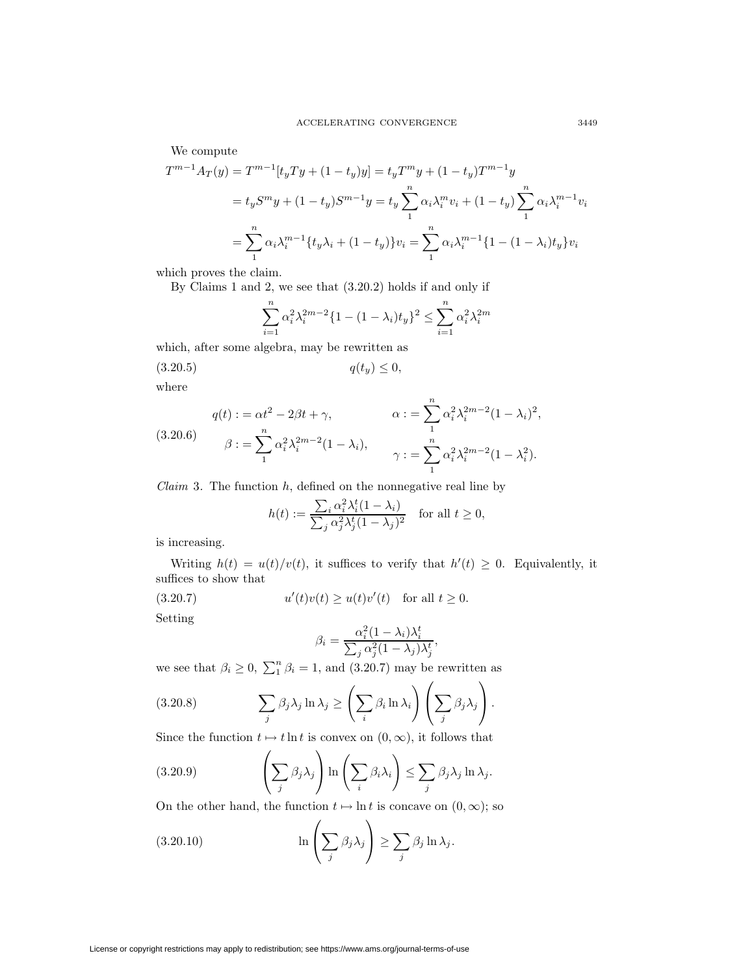We compute

$$
T^{m-1}A_T(y) = T^{m-1}[t_yTy + (1-t_y)y] = t_yT^my + (1-t_y)T^{m-1}y
$$
  

$$
= t_yS^my + (1-t_y)S^{m-1}y = t_y\sum_{1}^{n} \alpha_i \lambda_i^m v_i + (1-t_y)\sum_{1}^{n} \alpha_i \lambda_i^{m-1} v_i
$$
  

$$
= \sum_{1}^{n} \alpha_i \lambda_i^{m-1} \{t_y \lambda_i + (1-t_y)\} v_i = \sum_{1}^{n} \alpha_i \lambda_i^{m-1} \{1 - (1-\lambda_i)t_y\} v_i
$$

which proves the claim.

By Claims 1 and 2, we see that (3.20.2) holds if and only if

$$
\sum_{i=1}^{n} \alpha_i^2 \lambda_i^{2m-2} \{ 1 - (1 - \lambda_i)t_y \}^2 \le \sum_{i=1}^{n} \alpha_i^2 \lambda_i^{2m}
$$

which, after some algebra, may be rewritten as

$$
(3.20.5) \t\t q(t_y) \le 0,
$$

where

(3.20.6) 
$$
q(t) := \alpha t^2 - 2\beta t + \gamma, \qquad \alpha := \sum_{1}^{n} \alpha_i^2 \lambda_i^{2m-2} (1 - \lambda_i)^2,
$$

$$
\beta := \sum_{1}^{n} \alpha_i^2 \lambda_i^{2m-2} (1 - \lambda_i), \qquad \gamma := \sum_{1}^{n} \alpha_i^2 \lambda_i^{2m-2} (1 - \lambda_i^2).
$$

*Claim* 3. The function  $h$ , defined on the nonnegative real line by

$$
h(t) := \frac{\sum_{i} \alpha_i^2 \lambda_i^t (1 - \lambda_i)}{\sum_{j} \alpha_j^2 \lambda_j^t (1 - \lambda_j)^2} \quad \text{for all } t \ge 0,
$$

is increasing.

Writing  $h(t) = u(t)/v(t)$ , it suffices to verify that  $h'(t) \geq 0$ . Equivalently, it suffices to show that

(3.20.7) 
$$
u'(t)v(t) \ge u(t)v'(t)
$$
 for all  $t \ge 0$ .

Setting

$$
\beta_i = \frac{\alpha_i^2 (1 - \lambda_i) \lambda_i^t}{\sum_j \alpha_j^2 (1 - \lambda_j) \lambda_j^t},
$$

we see that  $\beta_i \geq 0$ ,  $\sum_{1}^{n} \beta_i = 1$ , and  $(3.20.7)$  may be rewritten as

(3.20.8) 
$$
\sum_{j} \beta_{j} \lambda_{j} \ln \lambda_{j} \geq \left(\sum_{i} \beta_{i} \ln \lambda_{i}\right) \left(\sum_{j} \beta_{j} \lambda_{j}\right).
$$

Since the function  $t \mapsto t \ln t$  is convex on  $(0, \infty)$ , it follows that

(3.20.9) 
$$
\left(\sum_j \beta_j \lambda_j\right) \ln\left(\sum_i \beta_i \lambda_i\right) \leq \sum_j \beta_j \lambda_j \ln \lambda_j.
$$

On the other hand, the function  $t \mapsto \ln t$  is concave on  $(0, \infty)$ ; so

(3.20.10) 
$$
\ln\left(\sum_{j} \beta_j \lambda_j\right) \ge \sum_{j} \beta_j \ln \lambda_j.
$$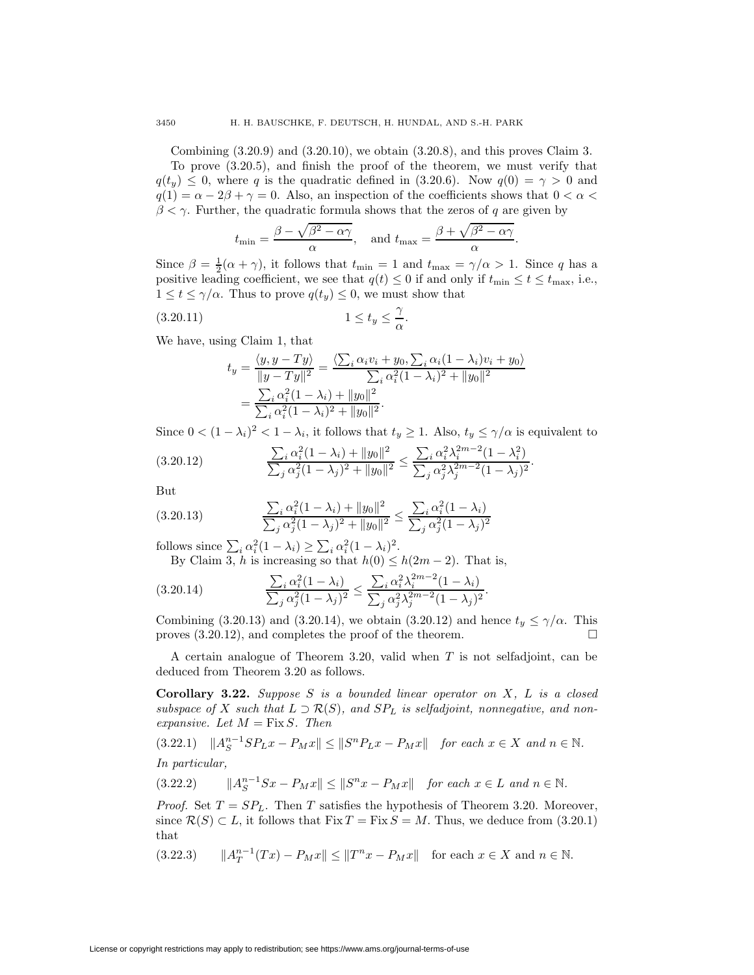Combining  $(3.20.9)$  and  $(3.20.10)$ , we obtain  $(3.20.8)$ , and this proves Claim 3.

To prove (3.20.5), and finish the proof of the theorem, we must verify that  $q(t_y) \leq 0$ , where q is the quadratic defined in (3.20.6). Now  $q(0) = \gamma > 0$  and  $q(1) = \alpha - 2\beta + \gamma = 0$ . Also, an inspection of the coefficients shows that  $0 < \alpha <$  $\beta < \gamma$ . Further, the quadratic formula shows that the zeros of q are given by

$$
t_{\min} = \frac{\beta - \sqrt{\beta^2 - \alpha \gamma}}{\alpha}
$$
, and  $t_{\max} = \frac{\beta + \sqrt{\beta^2 - \alpha \gamma}}{\alpha}$ .

Since  $\beta = \frac{1}{2}(\alpha + \gamma)$ , it follows that  $t_{\min} = 1$  and  $t_{\max} = \gamma/\alpha > 1$ . Since q has a positive leading coefficient, we see that  $q(t) \leq 0$  if and only if  $t_{\min} \leq t \leq t_{\max}$ , i.e.,  $1 \le t \le \gamma/\alpha$ . Thus to prove  $q(t_u) \le 0$ , we must show that

$$
(3.20.11)\t\t\t 1 \le t_y \le \frac{\gamma}{\alpha}.
$$

We have, using Claim 1, that

$$
t_y = \frac{\langle y, y - Ty \rangle}{\|y - Ty\|^2} = \frac{\langle \sum_i \alpha_i v_i + y_0, \sum_i \alpha_i (1 - \lambda_i) v_i + y_0 \rangle}{\sum_i \alpha_i^2 (1 - \lambda_i)^2 + \|y_0\|^2}
$$
  
= 
$$
\frac{\sum_i \alpha_i^2 (1 - \lambda_i) + \|y_0\|^2}{\sum_i \alpha_i^2 (1 - \lambda_i)^2 + \|y_0\|^2}.
$$

Since  $0 < (1 - \lambda_i)^2 < 1 - \lambda_i$ , it follows that  $t_y \ge 1$ . Also,  $t_y \le \gamma/\alpha$  is equivalent to

$$
(3.20.12) \qquad \frac{\sum_{i} \alpha_i^2 (1 - \lambda_i) + ||y_0||^2}{\sum_{j} \alpha_j^2 (1 - \lambda_j)^2 + ||y_0||^2} \le \frac{\sum_{i} \alpha_i^2 \lambda_i^{2m-2} (1 - \lambda_i^2)}{\sum_{j} \alpha_j^2 \lambda_j^{2m-2} (1 - \lambda_j)^2}.
$$

But

$$
(3.20.13)\qquad \qquad \frac{\sum_{i} \alpha_i^2 (1 - \lambda_i) + ||y_0||^2}{\sum_{j} \alpha_j^2 (1 - \lambda_j)^2 + ||y_0||^2} \le \frac{\sum_{i} \alpha_i^2 (1 - \lambda_i)}{\sum_{j} \alpha_j^2 (1 - \lambda_j)^2}
$$

follows since  $\sum_i \alpha_i^2 (1 - \lambda_i) \ge \sum_i \alpha_i^2 (1 - \lambda_i)^2$ .

By Claim 3, h is increasing so that  $h(0) \leq h(2m-2)$ . That is,

$$
(3.20.14) \qquad \qquad \frac{\sum_{i} \alpha_{i}^{2} (1 - \lambda_{i})}{\sum_{j} \alpha_{j}^{2} (1 - \lambda_{j})^{2}} \leq \frac{\sum_{i} \alpha_{i}^{2} \lambda_{i}^{2m - 2} (1 - \lambda_{i})}{\sum_{j} \alpha_{j}^{2} \lambda_{j}^{2m - 2} (1 - \lambda_{j})^{2}}.
$$

Combining (3.20.13) and (3.20.14), we obtain (3.20.12) and hence  $t_y \leq \gamma/\alpha$ . This proves  $(3.20.12)$ , and completes the proof of the theorem.

A certain analogue of Theorem 3.20, valid when  $T$  is not selfadjoint, can be deduced from Theorem 3.20 as follows.

**Corollary 3.22.** Suppose S is a bounded linear operator on X, L is a closed subspace of X such that  $L \supset \mathcal{R}(S)$ , and  $SP<sub>L</sub>$  is selfadjoint, nonnegative, and nonexpansive. Let  $M = Fix S$ . Then

$$
(3.22.1) \quad ||A_S^{n-1}SP_Lx - P_Mx|| \le ||S^nP_Lx - P_Mx|| \quad \text{for each } x \in X \text{ and } n \in \mathbb{N}.
$$
  
In particular,

(3.22.2)  $||A_S^{n-1} S x - P_M x|| \le ||S^n x - P_M x||$  for each  $x \in L$  and  $n \in \mathbb{N}$ .

*Proof.* Set  $T = SP<sub>L</sub>$ . Then T satisfies the hypothesis of Theorem 3.20. Moreover, since  $\mathcal{R}(S) \subset L$ , it follows that  $Fix T = Fix S = M$ . Thus, we deduce from (3.20.1) that

$$
(3.22.3) \t ||A_T^{n-1}(Tx) - P_Mx|| \le ||T^nx - P_Mx|| \t for each  $x \in X$  and  $n \in \mathbb{N}$ .
$$

License or copyright restrictions may apply to redistribution; see https://www.ams.org/journal-terms-of-use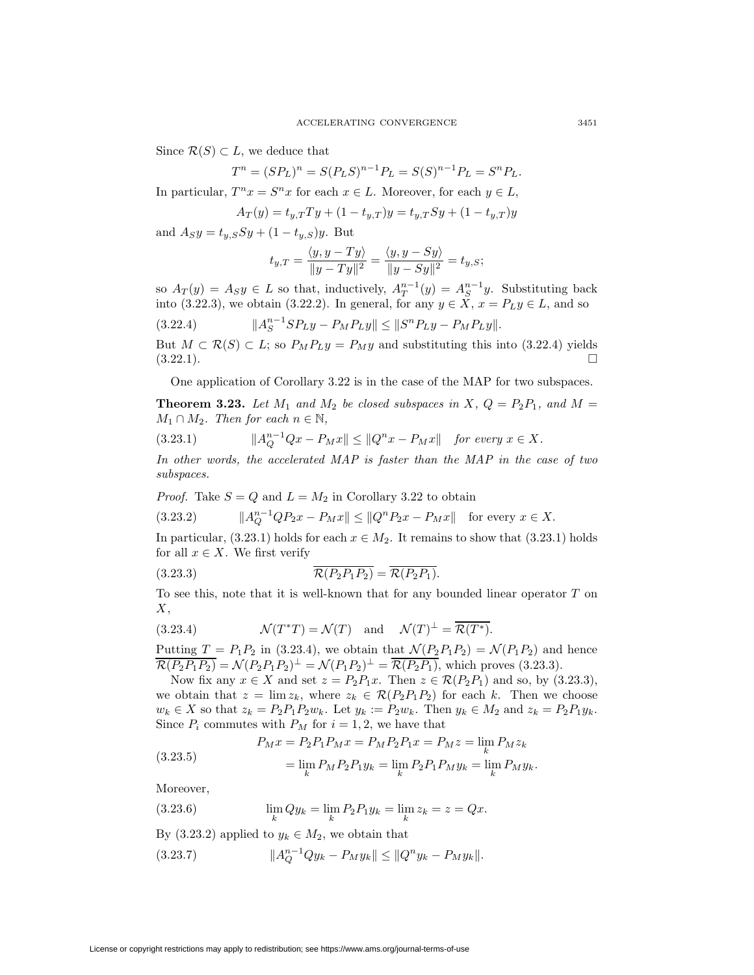Since  $\mathcal{R}(S) \subset L$ , we deduce that

$$
T^{n} = (SP_{L})^{n} = S(P_{L}S)^{n-1}P_{L} = S(S)^{n-1}P_{L} = S^{n}P_{L}.
$$

In particular,  $T^n x = S^n x$  for each  $x \in L$ . Moreover, for each  $y \in L$ ,

$$
A_T(y) = t_{y,T}Ty + (1 - t_{y,T})y = t_{y,T}Sy + (1 - t_{y,T})y
$$

and  $A_S y = t_{y,S} S y + (1 - t_{y,S}) y$ . But

$$
t_{y,T} = \frac{\langle y, y - Ty \rangle}{\|y - Ty\|^2} = \frac{\langle y, y - Sy \rangle}{\|y - Sy\|^2} = t_{y,S};
$$

so  $A_T(y) = A_S y \in L$  so that, inductively,  $A_T^{n-1}(y) = A_S^{n-1} y$ . Substituting back into (3.22.3), we obtain (3.22.2). In general, for any  $y \in X$ ,  $x = P_L y \in L$ , and so

$$
(3.22.4) \t\t\t  $||A_{S}^{n-1}SP_{L}y - P_{M}P_{L}y|| \le ||S^{n}P_{L}y - P_{M}P_{L}y||.$
$$

But  $M \subset \mathcal{R}(S) \subset L$ ; so  $P_M P_L y = P_M y$  and substituting this into (3.22.4) yields  $(3.22.1).$ 

One application of Corollary 3.22 is in the case of the MAP for two subspaces.

**Theorem 3.23.** Let  $M_1$  and  $M_2$  be closed subspaces in X,  $Q = P_2P_1$ , and  $M =$  $M_1 \cap M_2$ . Then for each  $n \in \mathbb{N}$ ,

(3.23.1) 
$$
||A_{Q}^{n-1}Qx - P_{M}x|| \leq ||Q^{n}x - P_{M}x|| \text{ for every } x \in X.
$$

In other words, the accelerated MAP is faster than the MAP in the case of two subspaces.

*Proof.* Take  $S = Q$  and  $L = M_2$  in Corollary 3.22 to obtain

$$
(3.23.2) \t\t ||A_Q^{n-1}QP_2x - P_Mx|| \le ||Q^nP_2x - P_Mx|| \tfor every x \in X.
$$

In particular,  $(3.23.1)$  holds for each  $x \in M_2$ . It remains to show that  $(3.23.1)$  holds for all  $x \in X$ . We first verify

$$
(3.23.3) \qquad \qquad \overline{\mathcal{R}(P_2P_1P_2)} = \overline{\mathcal{R}(P_2P_1)}.
$$

To see this, note that it is well-known that for any bounded linear operator T on  $X$ .

(3.23.4) 
$$
\mathcal{N}(T^*T) = \mathcal{N}(T) \text{ and } \mathcal{N}(T)^{\perp} = \overline{\mathcal{R}(T^*)}.
$$

Putting  $T = P_1 P_2$  in (3.23.4), we obtain that  $\mathcal{N}(P_2 P_1 P_2) = \mathcal{N}(P_1 P_2)$  and hence  $\overline{\mathcal{R}(P_2P_1P_2)} = \mathcal{N}(P_2P_1P_2)^{\perp} = \mathcal{N}(P_1P_2)^{\perp} = \overline{\mathcal{R}(P_2P_1)}$ , which proves (3.23.3).

Now fix any  $x \in X$  and set  $z = P_2P_1x$ . Then  $z \in \mathcal{R}(P_2P_1)$  and so, by (3.23.3), we obtain that  $z = \lim z_k$ , where  $z_k \in \mathcal{R}(P_2P_1P_2)$  for each k. Then we choose  $w_k \in X$  so that  $z_k = P_2P_1P_2w_k$ . Let  $y_k := P_2w_k$ . Then  $y_k \in M_2$  and  $z_k = P_2P_1y_k$ . Since  $P_i$  commutes with  $P_M$  for  $i = 1, 2$ , we have that

(3.23.5) 
$$
P_M x = P_2 P_1 P_M x = P_M P_2 P_1 x = P_M z = \lim_k P_M z_k
$$

$$
= \lim_k P_M P_2 P_1 y_k = \lim_k P_2 P_1 P_M y_k = \lim_k P_M y_k.
$$

Moreover,

(3.23.6) 
$$
\lim_{k} Q y_k = \lim_{k} P_2 P_1 y_k = \lim_{k} z_k = z = Qx.
$$

By (3.23.2) applied to  $y_k \\in M_2$ , we obtain that

$$
(3.23.7) \t\t\t  $||A_{Q}^{n-1}Qy_{k} - P_{M}y_{k}|| \leq ||Q^{n}y_{k} - P_{M}y_{k}||.$
$$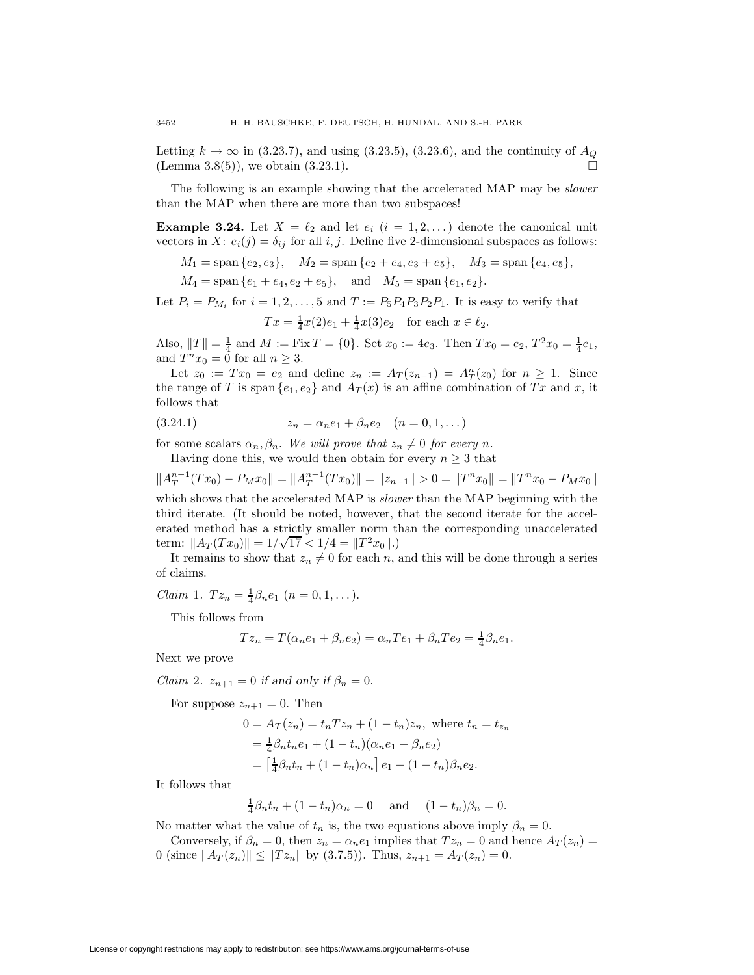Letting  $k \to \infty$  in (3.23.7), and using (3.23.5), (3.23.6), and the continuity of  $A_Q$ (Lemma  $3.8(5)$ ), we obtain  $(3.23.1)$ .

The following is an example showing that the accelerated MAP may be slower than the MAP when there are more than two subspaces!

**Example 3.24.** Let  $X = \ell_2$  and let  $e_i$   $(i = 1, 2, ...)$  denote the canonical unit vectors in X:  $e_i(j) = \delta_{ij}$  for all i, j. Define five 2-dimensional subspaces as follows:

 $M_1 = \text{span} \{e_2, e_3\}, \quad M_2 = \text{span} \{e_2 + e_4, e_3 + e_5\}, \quad M_3 = \text{span} \{e_4, e_5\},$ 

 $M_4 = \text{span}\{e_1 + e_4, e_2 + e_5\}, \text{ and } M_5 = \text{span}\{e_1, e_2\}.$ 

Let  $P_i = P_{M_i}$  for  $i = 1, 2, \ldots, 5$  and  $T := P_5P_4P_3P_2P_1$ . It is easy to verify that  $Tx = \frac{1}{4}x(2)e_1 + \frac{1}{4}x(3)e_2$  for each  $x \in \ell_2$ .

Also,  $||T|| = \frac{1}{4}$  and  $M := \text{Fix } T = \{0\}$ . Set  $x_0 := 4e_3$ . Then  $Tx_0 = e_2$ ,  $T^2x_0 = \frac{1}{4}e_1$ , and  $T^n x_0 = 0$  for all  $n \geq 3$ .

Let  $z_0 := Tx_0 = e_2$  and define  $z_n := A_T(z_{n-1}) = A_T^n(z_0)$  for  $n \ge 1$ . Since the range of T is span  $\{e_1, e_2\}$  and  $A_T(x)$  is an affine combination of Tx and x, it follows that

(3.24.1) 
$$
z_n = \alpha_n e_1 + \beta_n e_2 \quad (n = 0, 1, ...)
$$

for some scalars  $\alpha_n, \beta_n$ . We will prove that  $z_n \neq 0$  for every n.

Having done this, we would then obtain for every  $n \geq 3$  that

 $||A_T^{n-1}(Tx_0) - P_M x_0|| = ||A_T^{n-1}(Tx_0)|| = ||z_{n-1}|| > 0 = ||T^n x_0|| = ||T^n x_0 - P_M x_0||$ which shows that the accelerated MAP is *slower* than the MAP beginning with the third iterate. (It should be noted, however, that the second iterate for the accel-

erated method has a strictly smaller norm than the corresponding unaccelerated term:  $||A_T(T x_0)|| = 1/\sqrt{17} < 1/4 = ||T^2 x_0||.$ 

It remains to show that  $z_n \neq 0$  for each n, and this will be done through a series of claims.

*Claim* 1. 
$$
Tz_n = \frac{1}{4}\beta_n e_1
$$
  $(n = 0, 1, ...).$ 

This follows from

$$
Tz_n = T(\alpha_n e_1 + \beta_n e_2) = \alpha_n Te_1 + \beta_n Te_2 = \frac{1}{4}\beta_n e_1.
$$

Next we prove

*Claim 2.*  $z_{n+1} = 0$  *if and only if*  $\beta_n = 0$ .

For suppose  $z_{n+1} = 0$ . Then

$$
0 = A_T(z_n) = t_n T z_n + (1 - t_n) z_n, \text{ where } t_n = t_{z_n}
$$
  
=  $\frac{1}{4} \beta_n t_n e_1 + (1 - t_n) (\alpha_n e_1 + \beta_n e_2)$   
=  $\left[\frac{1}{4} \beta_n t_n + (1 - t_n) \alpha_n\right] e_1 + (1 - t_n) \beta_n e_2.$ 

It follows that

$$
\frac{1}{4}\beta_n t_n + (1 - t_n)\alpha_n = 0
$$
 and  $(1 - t_n)\beta_n = 0$ .

No matter what the value of  $t_n$  is, the two equations above imply  $\beta_n = 0$ .

Conversely, if  $\beta_n = 0$ , then  $z_n = \alpha_n e_1$  implies that  $Tz_n = 0$  and hence  $A_T(z_n) =$ 0 (since  $||A_T(z_n)|| \leq ||T z_n||$  by (3.7.5)). Thus,  $z_{n+1} = A_T(z_n) = 0$ .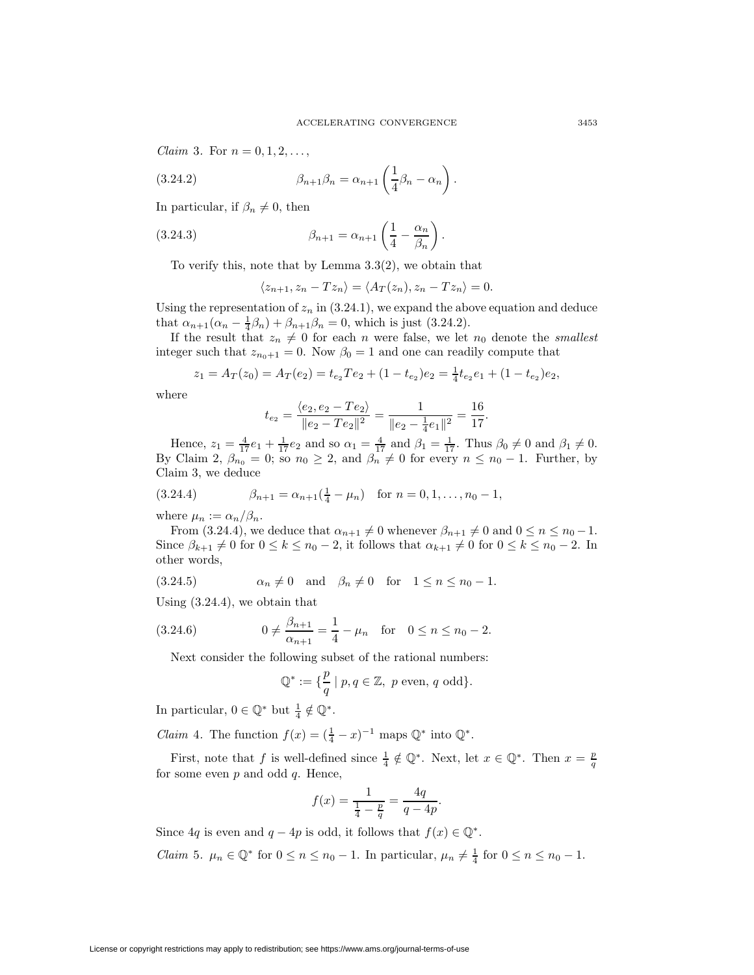.

*Claim* 3. For  $n = 0, 1, 2, ...$ ,

(3.24.2) 
$$
\beta_{n+1}\beta_n = \alpha_{n+1}\left(\frac{1}{4}\beta_n - \alpha_n\right)
$$

In particular, if  $\beta_n \neq 0$ , then

(3.24.3) 
$$
\beta_{n+1} = \alpha_{n+1} \left( \frac{1}{4} - \frac{\alpha_n}{\beta_n} \right).
$$

To verify this, note that by Lemma 3.3(2), we obtain that

$$
\langle z_{n+1}, z_n - T z_n \rangle = \langle A_T(z_n), z_n - T z_n \rangle = 0.
$$

Using the representation of  $z_n$  in (3.24.1), we expand the above equation and deduce that  $\alpha_{n+1}(\alpha_n - \frac{1}{4}\beta_n) + \beta_{n+1}\beta_n = 0$ , which is just (3.24.2).

If the result that  $z_n \neq 0$  for each n were false, we let  $n_0$  denote the *smallest* integer such that  $z_{n_0+1} = 0$ . Now  $\beta_0 = 1$  and one can readily compute that

$$
z_1 = A_T(z_0) = A_T(e_2) = t_{e_2}Te_2 + (1 - t_{e_2})e_2 = \frac{1}{4}t_{e_2}e_1 + (1 - t_{e_2})e_2,
$$

where

$$
t_{e_2} = \frac{\langle e_2, e_2 - Te_2 \rangle}{\|e_2 - Te_2\|^2} = \frac{1}{\|e_2 - \frac{1}{4}e_1\|^2} = \frac{16}{17}.
$$

Hence,  $z_1 = \frac{4}{17}e_1 + \frac{1}{17}e_2$  and so  $\alpha_1 = \frac{4}{17}$  and  $\beta_1 = \frac{1}{17}$ . Thus  $\beta_0 \neq 0$  and  $\beta_1 \neq 0$ . By Claim 2,  $\beta_{n_0}$  = 0; so  $n_0 \geq 2$ , and  $\beta_n$   $\neq 0$  for every  $n \leq n_0 - 1$ . Further, by Claim 3, we deduce

(3.24.4) 
$$
\beta_{n+1} = \alpha_{n+1}(\frac{1}{4} - \mu_n) \text{ for } n = 0, 1, ..., n_0 - 1,
$$

where  $\mu_n := \alpha_n/\beta_n$ .

From (3.24.4), we deduce that  $\alpha_{n+1} \neq 0$  whenever  $\beta_{n+1} \neq 0$  and  $0 \leq n \leq n_0 - 1$ . Since  $\beta_{k+1} \neq 0$  for  $0 \leq k \leq n_0 - 2$ , it follows that  $\alpha_{k+1} \neq 0$  for  $0 \leq k \leq n_0 - 2$ . In other words,

$$
(3.24.5) \qquad \alpha_n \neq 0 \quad \text{and} \quad \beta_n \neq 0 \quad \text{for} \quad 1 \leq n \leq n_0 - 1.
$$

Using (3.24.4), we obtain that

(3.24.6) 
$$
0 \neq \frac{\beta_{n+1}}{\alpha_{n+1}} = \frac{1}{4} - \mu_n \text{ for } 0 \leq n \leq n_0 - 2.
$$

Next consider the following subset of the rational numbers:

$$
\mathbb{Q}^*:=\{\frac{p}{q}\mid p,q\in\mathbb{Z},\ p\text{ even, }q\text{ odd}\}.
$$

In particular,  $0 \in \mathbb{Q}^*$  but  $\frac{1}{4} \notin \mathbb{Q}^*$ .

*Claim* 4. The function  $f(x) = (\frac{1}{4} - x)^{-1}$  maps  $\mathbb{Q}^*$  into  $\mathbb{Q}^*$ .

First, note that f is well-defined since  $\frac{1}{4} \notin \mathbb{Q}^*$ . Next, let  $x \in \mathbb{Q}^*$ . Then  $x = \frac{p}{q}$ for some even  $p$  and odd  $q$ . Hence,

$$
f(x) = \frac{1}{\frac{1}{4} - \frac{p}{q}} = \frac{4q}{q - 4p}.
$$

Since  $4q$  is even and  $q - 4p$  is odd, it follows that  $f(x) \in \mathbb{Q}^*$ .

*Claim* 5.  $\mu_n \in \mathbb{Q}^*$  for  $0 \le n \le n_0 - 1$ . In particular,  $\mu_n \ne \frac{1}{4}$  for  $0 \le n \le n_0 - 1$ .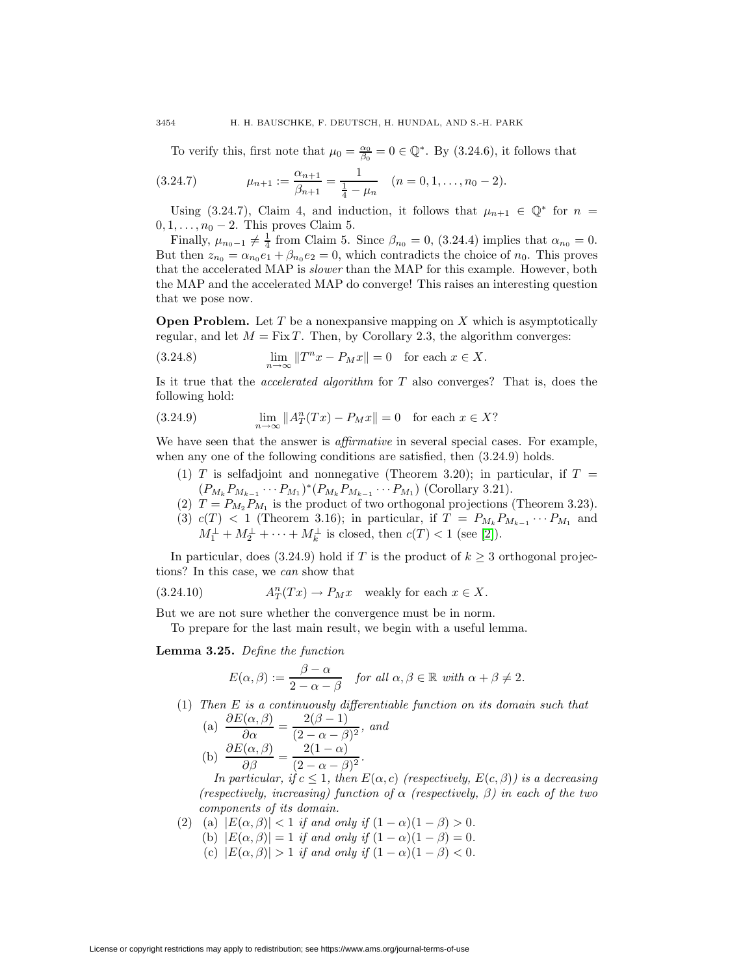To verify this, first note that  $\mu_0 = \frac{\alpha_0}{\beta_0} = 0 \in \mathbb{Q}^*$ . By (3.24.6), it follows that

$$
(3.24.7) \qquad \mu_{n+1} := \frac{\alpha_{n+1}}{\beta_{n+1}} = \frac{1}{\frac{1}{4} - \mu_n} \quad (n = 0, 1, \dots, n_0 - 2).
$$

Using (3.24.7), Claim 4, and induction, it follows that  $\mu_{n+1} \in \mathbb{Q}^*$  for  $n =$  $0, 1, \ldots, n_0 - 2$ . This proves Claim 5.

Finally,  $\mu_{n_0-1} \neq \frac{1}{4}$  from Claim 5. Since  $\beta_{n_0} = 0$ , (3.24.4) implies that  $\alpha_{n_0} = 0$ . But then  $z_{n_0} = \alpha_{n_0} e_1 + \beta_{n_0} e_2 = 0$ , which contradicts the choice of  $n_0$ . This proves that the accelerated MAP is slower than the MAP for this example. However, both the MAP and the accelerated MAP do converge! This raises an interesting question that we pose now.

**Open Problem.** Let T be a nonexpansive mapping on X which is asymptotically regular, and let  $M = Fix T$ . Then, by Corollary 2.3, the algorithm converges:

(3.24.8) 
$$
\lim_{n \to \infty} ||T^n x - P_M x|| = 0 \text{ for each } x \in X.
$$

Is it true that the accelerated algorithm for T also converges? That is, does the following hold:

(3.24.9) 
$$
\lim_{n \to \infty} ||A_T^n(Tx) - P_Mx|| = 0 \text{ for each } x \in X?
$$

We have seen that the answer is *affirmative* in several special cases. For example, when any one of the following conditions are satisfied, then  $(3.24.9)$  holds.

- (1) T is selfadjoint and nonnegative (Theorem 3.20); in particular, if  $T =$  $(P_{M_k} P_{M_{k-1}} \cdots P_{M_1})^*(P_{M_k} P_{M_{k-1}} \cdots P_{M_1})$  (Corollary 3.21).
- (2)  $T = P_{M_2} P_{M_1}$  is the product of two orthogonal projections (Theorem 3.23).
- (3)  $c(T)$  < 1 (Theorem 3.16); in particular, if  $T = P_{M_k} P_{M_{k-1}} \cdots P_{M_1}$  and  $M_1^{\perp} + M_2^{\perp} + \cdots + M_k^{\perp}$  is closed, then  $c(T) < 1$  (see [\[2\]](#page-27-0)).

In particular, does (3.24.9) hold if T is the product of  $k \geq 3$  orthogonal projections? In this case, we can show that

(3.24.10) 
$$
A_T^n(Tx) \to P_M x \text{ weakly for each } x \in X.
$$

But we are not sure whether the convergence must be in norm.

To prepare for the last main result, we begin with a useful lemma.

**Lemma 3.25.** Define the function

$$
E(\alpha, \beta) := \frac{\beta - \alpha}{2 - \alpha - \beta} \quad \text{for all } \alpha, \beta \in \mathbb{R} \text{ with } \alpha + \beta \neq 2.
$$

(1) Then E is a continuously differentiable function on its domain such that

(a) 
$$
\frac{\partial E(\alpha, \beta)}{\partial \alpha} = \frac{2(\beta - 1)}{(2 - \alpha - \beta)^2}, \text{ and}
$$
  
(b) 
$$
\frac{\partial E(\alpha, \beta)}{\partial \beta} = \frac{2(1 - \alpha)}{(2 - \alpha - \beta)^2}.
$$

In particular, if  $c \leq 1$ , then  $E(\alpha, c)$  (respectively,  $E(c, \beta)$ ) is a decreasing (respectively, increasing) function of  $\alpha$  (respectively,  $\beta$ ) in each of the two components of its domain.

(2) (a)  $|E(\alpha, \beta)| < 1$  if and only if  $(1 - \alpha)(1 - \beta) > 0$ . (b)  $|E(\alpha, \beta)| = 1$  if and only if  $(1 - \alpha)(1 - \beta) = 0$ . (c)  $|E(\alpha, \beta)| > 1$  if and only if  $(1 - \alpha)(1 - \beta) < 0$ .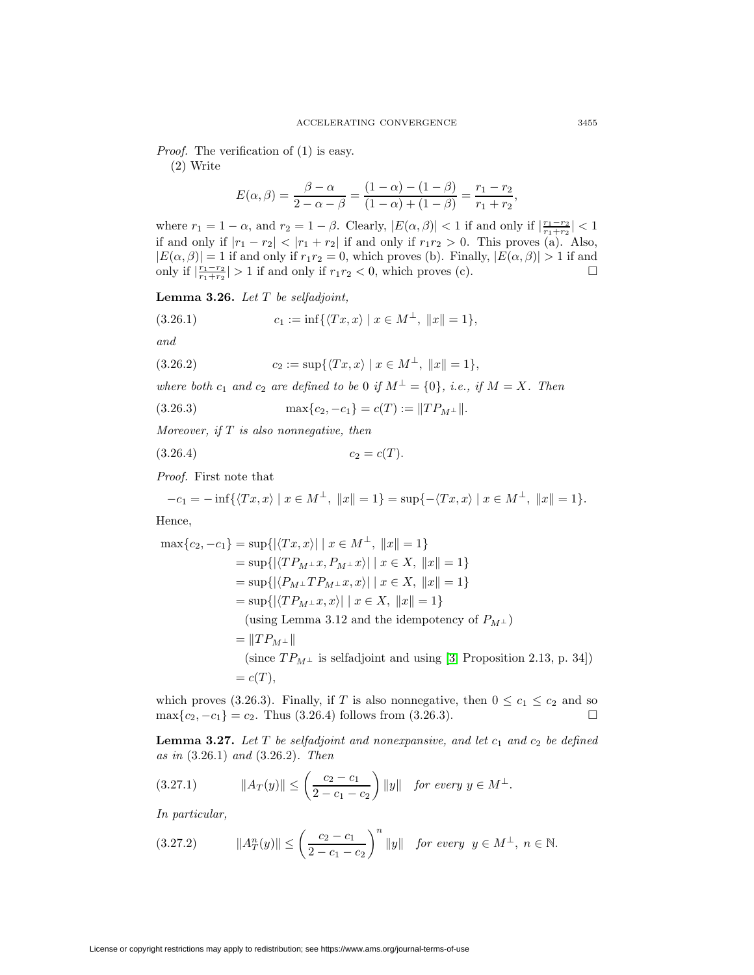Proof. The verification of (1) is easy.

(2) Write

$$
E(\alpha, \beta) = \frac{\beta - \alpha}{2 - \alpha - \beta} = \frac{(1 - \alpha) - (1 - \beta)}{(1 - \alpha) + (1 - \beta)} = \frac{r_1 - r_2}{r_1 + r_2},
$$

where  $r_1 = 1 - \alpha$ , and  $r_2 = 1 - \beta$ . Clearly,  $|E(\alpha, \beta)| < 1$  if and only if  $\left|\frac{r_1 - r_2}{r_1 + r_2}\right| < 1$ if and only if  $|r_1 - r_2| < |r_1 + r_2|$  if and only if  $r_1 r_2 > 0$ . This proves (a). Also,  $|E(\alpha, \beta)| = 1$  if and only if  $r_1r_2 = 0$ , which proves (b). Finally,  $|E(\alpha, \beta)| > 1$  if and only if  $\left|\frac{r_1-r_2}{r_1+r_2}\right| > 1$  if and only if  $r_1r_2 < 0$ , which proves (c).

**Lemma 3.26.** Let T be selfadjoint,

(3.26.1) 
$$
c_1 := \inf \{ \langle Tx, x \rangle \mid x \in M^{\perp}, \ \|x\| = 1 \},
$$

and

$$
(3.26.2) \t\t c_2 := \sup\{\langle Tx, x\rangle \mid x \in M^{\perp}, \ \|x\| = 1\},\
$$

where both  $c_1$  and  $c_2$  are defined to be 0 if  $M^{\perp} = \{0\}$ , i.e., if  $M = X$ . Then

(3.26.3) 
$$
\max\{c_2, -c_1\} = c(T) := ||TP_{M^{\perp}}||.
$$

Moreover, if  $T$  is also nonnegative, then

$$
(3.26.4) \t\t c_2 = c(T).
$$

Proof. First note that

$$
-c_1 = -\inf \{ \langle Tx, x \rangle \mid x \in M^{\perp}, \ \|x\| = 1 \} = \sup \{ -\langle Tx, x \rangle \mid x \in M^{\perp}, \ \|x\| = 1 \}.
$$

Hence,

$$
\max\{c_2, -c_1\} = \sup\{|\langle Tx, x \rangle| \mid x \in M^{\perp}, \|x\| = 1\}
$$
  
\n
$$
= \sup\{|\langle TP_{M^{\perp}}x, P_{M^{\perp}}x \rangle| \mid x \in X, \|x\| = 1\}
$$
  
\n
$$
= \sup\{|\langle P_{M^{\perp}}TP_{M^{\perp}}x, x \rangle| \mid x \in X, \|x\| = 1\}
$$
  
\n
$$
= \sup\{|\langle TP_{M^{\perp}}x, x \rangle| \mid x \in X, \|x\| = 1\}
$$
  
\n
$$
(\text{using Lemma 3.12 and the idempotency of } P_{M^{\perp}})
$$
  
\n
$$
= \|TP_{M^{\perp}}\|
$$
  
\n
$$
(\text{since } TP_{M^{\perp}} \text{ is selfadjoint and using [3, Proposition 2.13, p. 34]})
$$
  
\n
$$
= c(T),
$$

which proves (3.26.3). Finally, if T is also nonnegative, then  $0 \leq c_1 \leq c_2$  and so  $\max\{c_2, -c_1\} = c_2$ . Thus (3.26.4) follows from (3.26.3).

**Lemma 3.27.** Let T be selfadjoint and nonexpansive, and let  $c_1$  and  $c_2$  be defined as in (3.26.1) and (3.26.2). Then

$$
(3.27.1) \t\t ||A_T(y)|| \le \left(\frac{c_2 - c_1}{2 - c_1 - c_2}\right) ||y|| \text{ for every } y \in M^{\perp}.
$$

In particular,

$$
(3.27.2) \t ||A_T^n(y)|| \le \left(\frac{c_2 - c_1}{2 - c_1 - c_2}\right)^n ||y|| \text{ for every } y \in M^\perp, \ n \in \mathbb{N}.
$$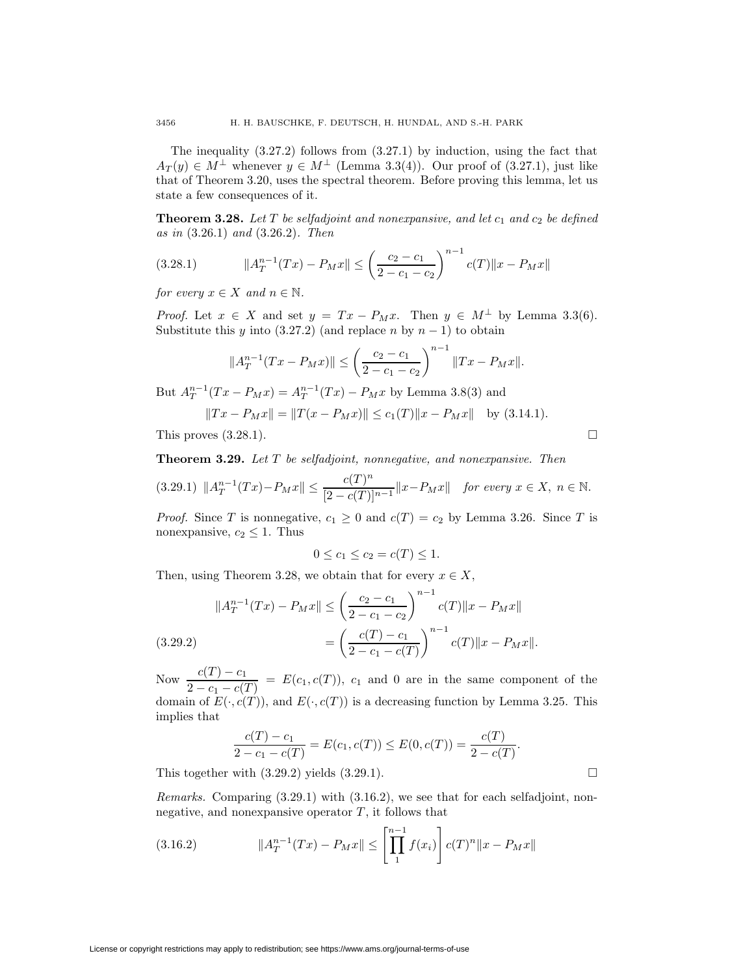The inequality  $(3.27.2)$  follows from  $(3.27.1)$  by induction, using the fact that  $A_T(y) \in M^{\perp}$  whenever  $y \in M^{\perp}$  (Lemma 3.3(4)). Our proof of (3.27.1), just like that of Theorem 3.20, uses the spectral theorem. Before proving this lemma, let us state a few consequences of it.

**Theorem 3.28.** Let  $T$  be selfadjoint and nonexpansive, and let  $c_1$  and  $c_2$  be defined as in (3.26.1) and (3.26.2). Then

$$
(3.28.1) \t\t ||A_T^{n-1}(Tx) - P_Mx|| \le \left(\frac{c_2 - c_1}{2 - c_1 - c_2}\right)^{n-1} c(T) ||x - P_Mx||
$$

for every  $x \in X$  and  $n \in \mathbb{N}$ .

*Proof.* Let  $x \in X$  and set  $y = Tx - P_Mx$ . Then  $y \in M^{\perp}$  by Lemma 3.3(6). Substitute this y into  $(3.27.2)$  (and replace n by  $n-1$ ) to obtain

$$
||A_T^{n-1}(Tx - P_Mx)|| \le \left(\frac{c_2 - c_1}{2 - c_1 - c_2}\right)^{n-1} ||Tx - P_Mx||.
$$

But  $A_T^{n-1}(Tx - P_Mx) = A_T^{n-1}(Tx) - P_Mx$  by Lemma 3.8(3) and

$$
||Tx - P_Mx|| = ||T(x - P_Mx)|| \le c_1(T)||x - P_Mx|| \text{ by (3.14.1)}.
$$

This proves  $(3.28.1)$ .

**Theorem 3.29.** Let T be selfadjoint, nonnegative, and nonexpansive. Then

$$
(3.29.1) \|A_T^{n-1}(Tx) - P_Mx\| \le \frac{c(T)^n}{[2 - c(T)]^{n-1}} \|x - P_Mx\| \quad \text{for every } x \in X, \ n \in \mathbb{N}.
$$

*Proof.* Since T is nonnegative,  $c_1 \geq 0$  and  $c(T) = c_2$  by Lemma 3.26. Since T is nonexpansive,  $c_2 \leq 1$ . Thus

$$
0 \le c_1 \le c_2 = c(T) \le 1.
$$

Then, using Theorem 3.28, we obtain that for every  $x \in X$ ,

$$
||A_T^{n-1}(Tx) - P_Mx|| \le \left(\frac{c_2 - c_1}{2 - c_1 - c_2}\right)^{n-1} c(T)||x - P_Mx||
$$
  

$$
= \left(\frac{c(T) - c_1}{2 - c_1 - c(T)}\right)^{n-1} c(T)||x - P_Mx||.
$$

Now  $\frac{c(T) - c_1}{2 - c_1 - c(T)} = E(c_1, c(T))$ ,  $c_1$  and 0 are in the same component of the domain of  $E(\cdot, c(T))$ , and  $E(\cdot, c(T))$  is a decreasing function by Lemma 3.25. This implies that

$$
\frac{c(T) - c_1}{2 - c_1 - c(T)} = E(c_1, c(T)) \le E(0, c(T)) = \frac{c(T)}{2 - c(T)}.
$$

This together with  $(3.29.2)$  yields  $(3.29.1)$ .

Remarks. Comparing (3.29.1) with (3.16.2), we see that for each selfadjoint, nonnegative, and nonexpansive operator  $T$ , it follows that

(3.16.2) 
$$
||A_T^{n-1}(Tx) - P_Mx|| \le \left[\prod_1^{n-1} f(x_i)\right] c(T)^n ||x - P_Mx||
$$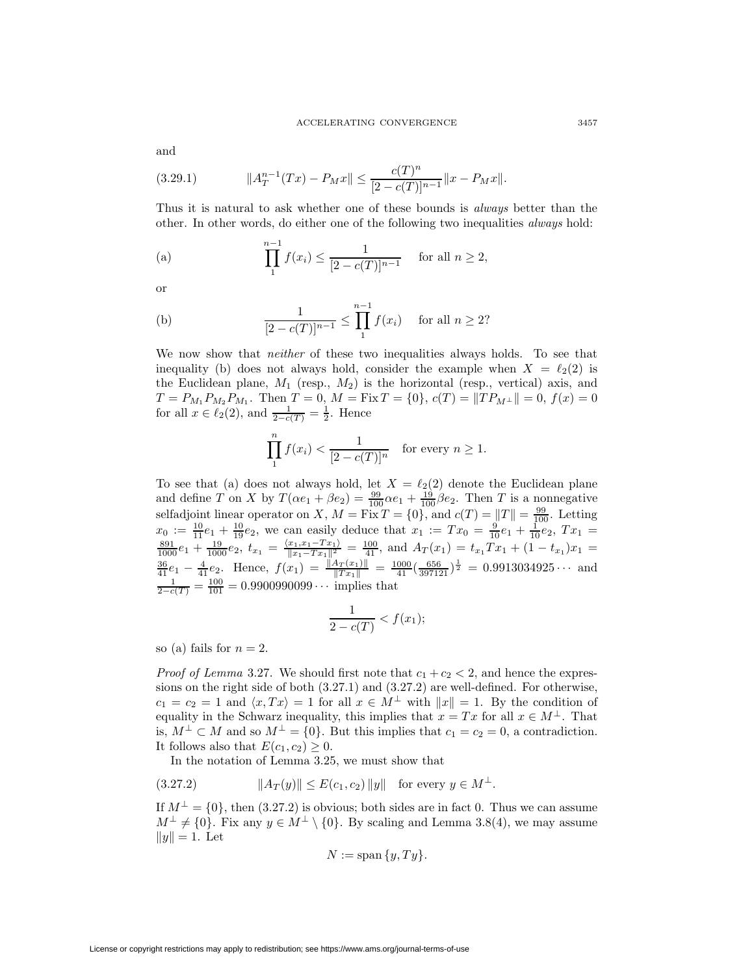and

(3.29.1) 
$$
||A_T^{n-1}(Tx) - P_Mx|| \le \frac{c(T)^n}{[2 - c(T)]^{n-1}} ||x - P_Mx||.
$$

Thus it is natural to ask whether one of these bounds is always better than the other. In other words, do either one of the following two inequalities always hold:

(a) 
$$
\prod_{1}^{n-1} f(x_i) \le \frac{1}{[2 - c(T)]^{n-1}} \text{ for all } n \ge 2,
$$

or

(b) 
$$
\frac{1}{[2 - c(T)]^{n-1}} \le \prod_{1}^{n-1} f(x_i) \text{ for all } n \ge 2?
$$

We now show that *neither* of these two inequalities always holds. To see that inequality (b) does not always hold, consider the example when  $X = \ell_2(2)$  is the Euclidean plane,  $M_1$  (resp.,  $M_2$ ) is the horizontal (resp., vertical) axis, and  $T = P_{M_1} P_{M_2} P_{M_1}$ . Then  $T = 0$ ,  $M = \text{Fix } T = \{0\}$ ,  $c(T) = ||TP_{M\perp}|| = 0$ ,  $f(x) = 0$ for all  $x \in \ell_2(2)$ , and  $\frac{1}{2 - c(T)} = \frac{1}{2}$ . Hence

$$
\prod_{1}^{n} f(x_i) < \frac{1}{[2 - c(T)]^n} \quad \text{for every } n \ge 1.
$$

To see that (a) does not always hold, let  $X = \ell_2(2)$  denote the Euclidean plane and define T on X by  $T(\alpha e_1 + \beta e_2) = \frac{99}{100} \alpha e_1 + \frac{19}{100} \beta e_2$ . Then T is a nonnegative selfadjoint linear operator on X,  $M = \text{Fix } T = \{0\}$ , and  $c(T) = ||T|| = \frac{99}{100}$ . Letting  $x_0 := \frac{10}{11}e_1 + \frac{10}{19}e_2$ , we can easily deduce that  $x_1 := Tx_0 = \frac{9}{10}e_1 + \frac{1}{10}e_2$ ,  $Tx_1 = \frac{891}{1000}e_1 + \frac{19}{1000}e_2$ ,  $t_{x_1} = \frac{\langle x_1, x_1 - Tx_1 \rangle}{\|x_1 - Tx_1\|^2} = \frac{100}{41}$ , and  $A_T(x_1) = t_{x_1}Tx_1 + (1 - t_{x_1})x_1 =$  $\frac{36}{41}e_1 - \frac{4}{41}e_2$ . Hence,  $f(x_1) = \frac{||A_T(x_1)||}{||Tx_1||} = \frac{1000}{41}(\frac{656}{397121})^{\frac{1}{2}} = 0.9913034925 \cdots$  and  $\frac{1}{2-c(T)} = \frac{100}{101} = 0.9900990099 \cdots$  implies that

$$
\frac{1}{2-c(T)} < f(x_1);
$$

so (a) fails for  $n = 2$ .

*Proof of Lemma* 3.27. We should first note that  $c_1 + c_2 < 2$ , and hence the expressions on the right side of both (3.27.1) and (3.27.2) are well-defined. For otherwise,  $c_1 = c_2 = 1$  and  $\langle x, Tx \rangle = 1$  for all  $x \in M^{\perp}$  with  $||x|| = 1$ . By the condition of equality in the Schwarz inequality, this implies that  $x = Tx$  for all  $x \in M^{\perp}$ . That is,  $M^{\perp} \subset M$  and so  $M^{\perp} = \{0\}$ . But this implies that  $c_1 = c_2 = 0$ , a contradiction. It follows also that  $E(c_1, c_2) \geq 0$ .

In the notation of Lemma 3.25, we must show that

$$
(3.27.2) \t\t\t ||A_T(y)|| \le E(c_1, c_2) ||y|| \tfor every y \in M^{\perp}.
$$

If  $M^{\perp} = \{0\}$ , then (3.27.2) is obvious; both sides are in fact 0. Thus we can assume  $M^{\perp} \neq \{0\}$ . Fix any  $y \in M^{\perp} \setminus \{0\}$ . By scaling and Lemma 3.8(4), we may assume  $||y|| = 1.$  Let

$$
N := \operatorname{span}\{y, Ty\}.
$$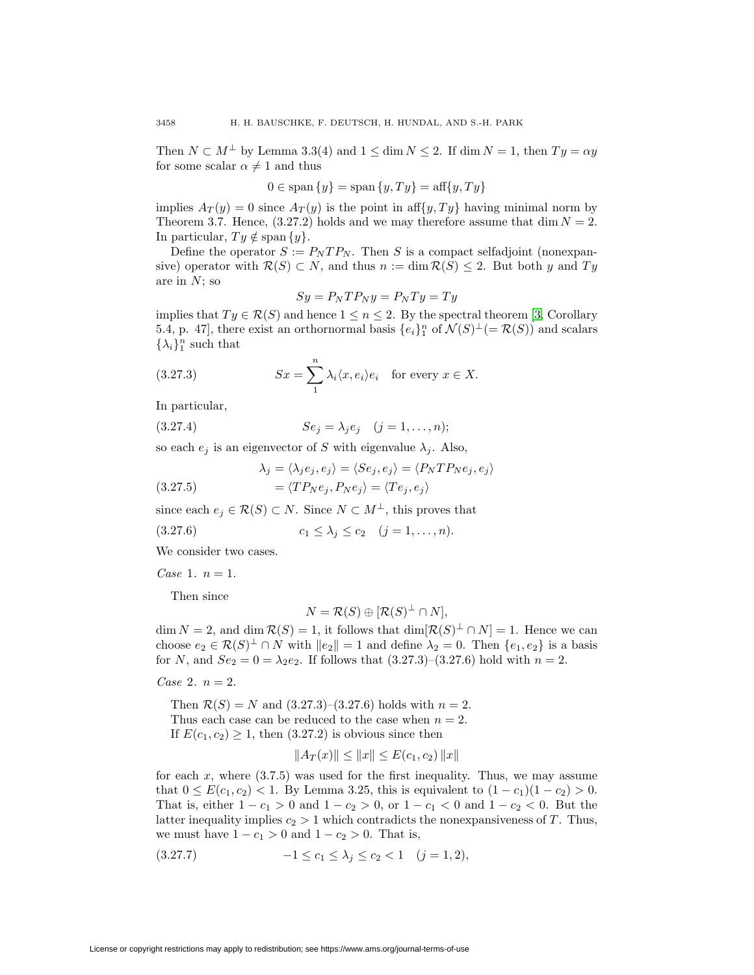Then  $N \subset M^{\perp}$  by Lemma 3.3(4) and  $1 \leq \dim N \leq 2$ . If  $\dim N = 1$ , then  $Ty = \alpha y$ for some scalar  $\alpha \neq 1$  and thus

$$
0 \in \text{span}\{y\} = \text{span}\{y, Ty\} = \text{aff}\{y, Ty\}
$$

implies  $A_T(y) = 0$  since  $A_T(y)$  is the point in aff $\{y, Ty\}$  having minimal norm by Theorem 3.7. Hence,  $(3.27.2)$  holds and we may therefore assume that dim  $N = 2$ . In particular,  $Ty \notin \text{span } \{y\}.$ 

Define the operator  $S := P_N T P_N$ . Then S is a compact selfadjoint (nonexpansive) operator with  $\mathcal{R}(S) \subset N$ , and thus  $n := \dim \mathcal{R}(S) \leq 2$ . But both y and Ty are in  $N$ ; so

$$
Sy = P_N T P_N y = P_N T y = T y
$$

implies that  $Ty \in \mathcal{R}(S)$  and hence  $1 \leq n \leq 2$ . By the spectral theorem [\[3,](#page-27-1) Corollary 5.4, p. 47], there exist an orthornormal basis  $\{e_i\}_1^n$  of  $\mathcal{N}(S)^{\perp}(=\mathcal{R}(S))$  and scalars  $\{\lambda_i\}_1^n$  such that

(3.27.3) 
$$
Sx = \sum_{1}^{n} \lambda_i \langle x, e_i \rangle e_i \text{ for every } x \in X.
$$

In particular,

(3.27.4) 
$$
Se_j = \lambda_j e_j \quad (j = 1, ..., n);
$$

so each  $e_j$  is an eigenvector of S with eigenvalue  $\lambda_j$ . Also,

(3.27.5) 
$$
\lambda_j = \langle \lambda_j e_j, e_j \rangle = \langle Se_j, e_j \rangle = \langle P_N T P_N e_j, e_j \rangle
$$

$$
= \langle T P_N e_j, P_N e_j \rangle = \langle T e_j, e_j \rangle
$$

since each 
$$
e_j \in \mathcal{R}(S) \subset N
$$
. Since  $N \subset M^{\perp}$ , this proves that

$$
(3.27.6) \t\t c_1 \leq \lambda_j \leq c_2 \t (j = 1, ..., n).
$$

We consider two cases.

*Case* 1.  $n = 1$ .

Then since

$$
N = \mathcal{R}(S) \oplus [\mathcal{R}(S)^{\perp} \cap N],
$$

 $\dim N = 2$ , and  $\dim \mathcal{R}(S) = 1$ , it follows that  $\dim [\mathcal{R}(S)^{\perp} \cap N] = 1$ . Hence we can choose  $e_2 \in \mathcal{R}(S)^{\perp} \cap N$  with  $||e_2|| = 1$  and define  $\lambda_2 = 0$ . Then  $\{e_1, e_2\}$  is a basis for N, and  $Se_2 = 0 = \lambda_2 e_2$ . If follows that  $(3.27.3)$ – $(3.27.6)$  hold with  $n = 2$ .

Case 2.  $n = 2$ .

Then  $\mathcal{R}(S) = N$  and  $(3.27.3)$ – $(3.27.6)$  holds with  $n = 2$ . Thus each case can be reduced to the case when  $n = 2$ . If  $E(c_1, c_2) \geq 1$ , then  $(3.27.2)$  is obvious since then

$$
||A_T(x)|| \le ||x|| \le E(c_1, c_2) ||x||
$$

for each  $x$ , where  $(3.7.5)$  was used for the first inequality. Thus, we may assume that  $0 \le E(c_1, c_2) < 1$ . By Lemma 3.25, this is equivalent to  $(1 - c_1)(1 - c_2) > 0$ . That is, either  $1 - c_1 > 0$  and  $1 - c_2 > 0$ , or  $1 - c_1 < 0$  and  $1 - c_2 < 0$ . But the latter inequality implies  $c_2 > 1$  which contradicts the nonexpansiveness of T. Thus, we must have  $1 - c_1 > 0$  and  $1 - c_2 > 0$ . That is,

$$
(3.27.7) \t -1 \le c_1 \le \lambda_j \le c_2 < 1 \t (j = 1, 2),
$$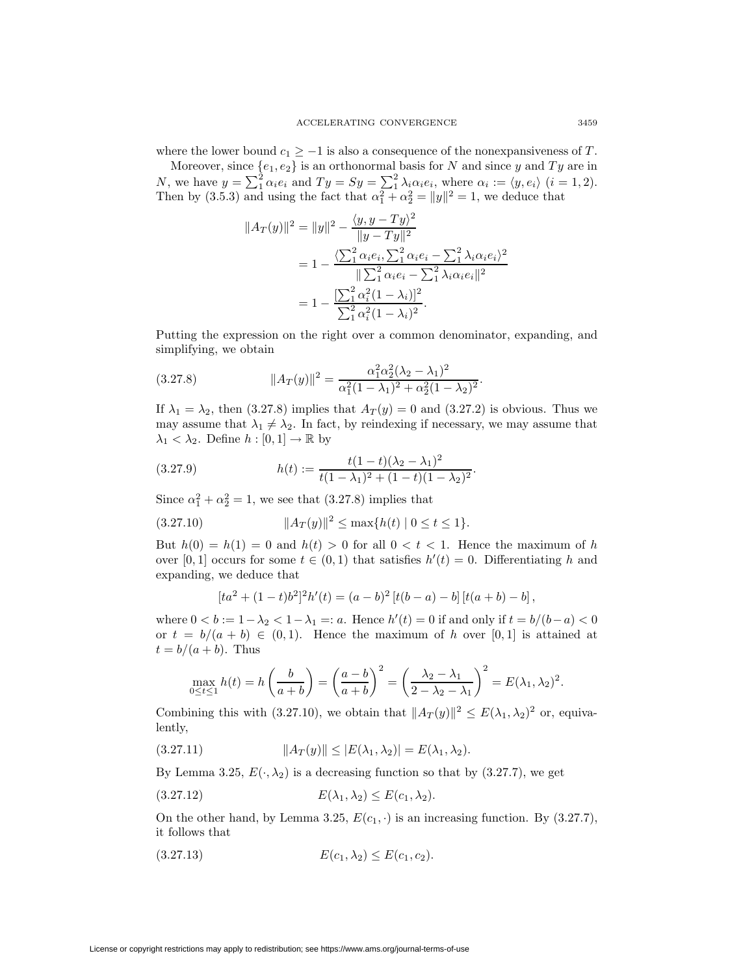where the lower bound  $c_1 \geq -1$  is also a consequence of the nonexpansiveness of T.

Moreover, since  $\{e_1, e_2\}$  is an orthonormal basis for N and since y and Ty are in N, we have  $y = \sum_{i=1}^{3} \alpha_i e_i$  and  $Ty = Sy = \sum_{i=1}^{3} \lambda_i \alpha_i e_i$ , where  $\alpha_i := \langle y, e_i \rangle$   $(i = 1, 2)$ . Then by (3.5.3) and using the fact that  $\alpha_1^2 + \alpha_2^2 = ||y||^2 = 1$ , we deduce that

$$
||A_T(y)||^2 = ||y||^2 - \frac{\langle y, y - Ty \rangle^2}{||y - Ty||^2}
$$
  
=  $1 - \frac{\langle \sum_{1}^{2} \alpha_i e_i, \sum_{1}^{2} \alpha_i e_i - \sum_{1}^{2} \lambda_i \alpha_i e_i \rangle^2}{||\sum_{1}^{2} \alpha_i e_i - \sum_{1}^{2} \lambda_i \alpha_i e_i||^2}$   
=  $1 - \frac{[\sum_{1}^{2} \alpha_i^2 (1 - \lambda_i)]^2}{\sum_{1}^{2} \alpha_i^2 (1 - \lambda_i)^2}.$ 

Putting the expression on the right over a common denominator, expanding, and simplifying, we obtain

(3.27.8) 
$$
||A_T(y)||^2 = \frac{\alpha_1^2 \alpha_2^2 (\lambda_2 - \lambda_1)^2}{\alpha_1^2 (1 - \lambda_1)^2 + \alpha_2^2 (1 - \lambda_2)^2}.
$$

If  $\lambda_1 = \lambda_2$ , then (3.27.8) implies that  $A_T(y) = 0$  and (3.27.2) is obvious. Thus we may assume that  $\lambda_1 \neq \lambda_2$ . In fact, by reindexing if necessary, we may assume that  $\lambda_1 < \lambda_2$ . Define  $h : [0,1] \to \mathbb{R}$  by

(3.27.9) 
$$
h(t) := \frac{t(1-t)(\lambda_2 - \lambda_1)^2}{t(1-\lambda_1)^2 + (1-t)(1-\lambda_2)^2}.
$$

Since  $\alpha_1^2 + \alpha_2^2 = 1$ , we see that (3.27.8) implies that

$$
(3.27.10) \t\t\t  $||A_T(y)||^2 \le \max\{h(t) | 0 \le t \le 1\}.$
$$

But  $h(0) = h(1) = 0$  and  $h(t) > 0$  for all  $0 < t < 1$ . Hence the maximum of h over [0, 1] occurs for some  $t \in (0,1)$  that satisfies  $h'(t) = 0$ . Differentiating h and expanding, we deduce that

$$
[ta2 + (1-t)b2]2h'(t) = (a - b)2 [t(b - a) – b] [t(a + b) – b],
$$

where  $0 < b := 1 - \lambda_2 < 1 - \lambda_1 =: a$ . Hence  $h'(t) = 0$  if and only if  $t = b/(b-a) < 0$ or  $t = b/(a + b) \in (0, 1)$ . Hence the maximum of h over [0, 1] is attained at  $t = b/(a + b)$ . Thus

$$
\max_{0 \le t \le 1} h(t) = h\left(\frac{b}{a+b}\right) = \left(\frac{a-b}{a+b}\right)^2 = \left(\frac{\lambda_2 - \lambda_1}{2 - \lambda_2 - \lambda_1}\right)^2 = E(\lambda_1, \lambda_2)^2.
$$

Combining this with (3.27.10), we obtain that  $||A_T (y)||^2 \leq E(\lambda_1, \lambda_2)^2$  or, equivalently,

(3.27.11) 
$$
||A_T(y)|| \le |E(\lambda_1, \lambda_2)| = E(\lambda_1, \lambda_2).
$$

By Lemma 3.25,  $E(\cdot, \lambda_2)$  is a decreasing function so that by (3.27.7), we get

$$
(3.27.12) \t\t\t E(\lambda_1, \lambda_2) \le E(c_1, \lambda_2).
$$

On the other hand, by Lemma 3.25,  $E(c_1, \cdot)$  is an increasing function. By (3.27.7), it follows that

$$
(3.27.13) \t E(c_1, \lambda_2) \le E(c_1, c_2).
$$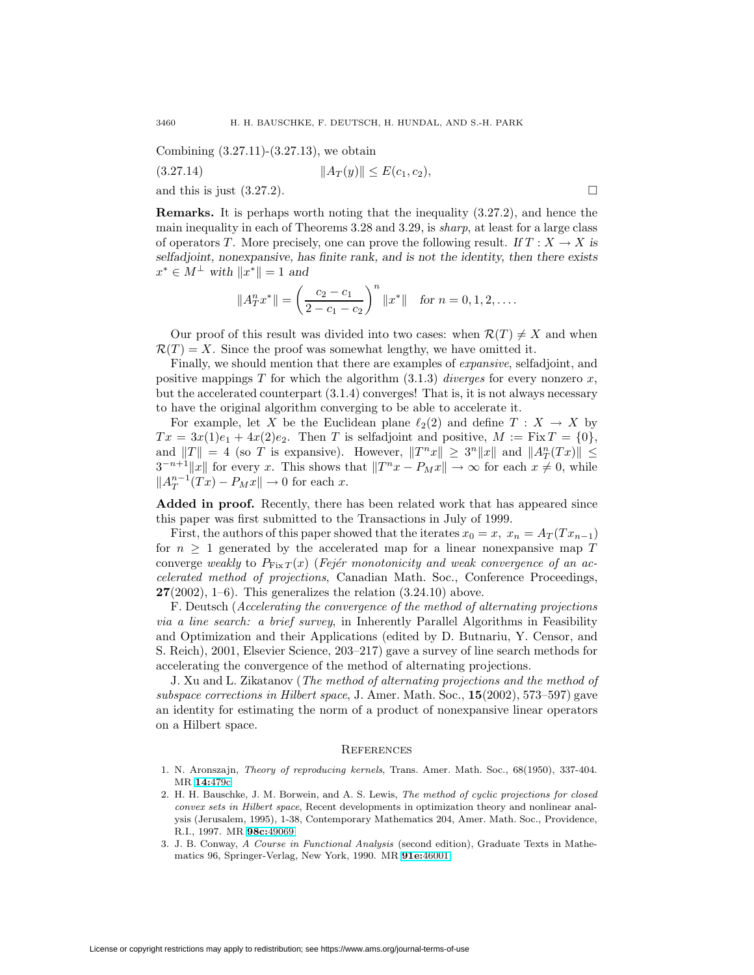Combining (3.27.11)-(3.27.13), we obtain

(3.27.14) 
$$
||A_T(y)|| \le E(c_1, c_2),
$$
  
and this is just (3.27.2).

**Remarks.** It is perhaps worth noting that the inequality (3.27.2), and hence the main inequality in each of Theorems 3.28 and 3.29, is sharp, at least for a large class of operators T. More precisely, one can prove the following result. *If*  $T : X \to X$  *is selfadjoint, nonexpansive, has finite rank, and is not the identity, then there exists*  $x^* \in M^{\perp}$  *with*  $||x^*|| = 1$  *and* 

$$
||A_T^n x^*|| = \left(\frac{c_2 - c_1}{2 - c_1 - c_2}\right)^n ||x^*||
$$
 for  $n = 0, 1, 2, ...$ 

Our proof of this result was divided into two cases: when  $\mathcal{R}(T) \neq X$  and when  $\mathcal{R}(T) = X$ . Since the proof was somewhat lengthy, we have omitted it.

Finally, we should mention that there are examples of *expansive*, selfadjoint, and positive mappings T for which the algorithm  $(3.1.3)$  diverges for every nonzero x, but the accelerated counterpart (3.1.4) converges! That is, it is not always necessary to have the original algorithm converging to be able to accelerate it.

For example, let X be the Euclidean plane  $\ell_2(2)$  and define  $T : X \to X$  by  $Tx = 3x(1)e_1 + 4x(2)e_2$ . Then T is selfadjoint and positive,  $M := Fix T = \{0\},$ and  $||T|| = 4$  (so T is expansive). However,  $||T^n x|| \geq 3^n ||x||$  and  $||A_T^n(Tx)|| \leq$  $3^{-n+1}||x||$  for every x. This shows that  $||T^n x - P_M x|| \to \infty$  for each  $x \neq 0$ , while  $||A_T^{n-1}(Tx) - P_M x|| \to 0$  for each x.

**Added in proof.** Recently, there has been related work that has appeared since this paper was first submitted to the Transactions in July of 1999.

First, the authors of this paper showed that the iterates  $x_0 = x$ ,  $x_n = A_T(T x_{n-1})$ for  $n \geq 1$  generated by the accelerated map for a linear nonexpansive map T converge weakly to  $P_{\text{Fix }T}(x)$  (Fejér monotonicity and weak convergence of an accelerated method of projections, Canadian Math. Soc., Conference Proceedings, **27**(2002), 1–6). This generalizes the relation (3.24.10) above.

F. Deutsch (Accelerating the convergence of the method of alternating projections via a line search: a brief survey, in Inherently Parallel Algorithms in Feasibility and Optimization and their Applications (edited by D. Butnariu, Y. Censor, and S. Reich), 2001, Elsevier Science, 203–217) gave a survey of line search methods for accelerating the convergence of the method of alternating projections.

J. Xu and L. Zikatanov (The method of alternating projections and the method of subspace corrections in Hilbert space, J. Amer. Math. Soc., **15**(2002), 573–597) gave an identity for estimating the norm of a product of nonexpansive linear operators on a Hilbert space.

#### **REFERENCES**

- <span id="page-27-2"></span><span id="page-27-0"></span>1. N. Aronszajn, Theory of reproducing kernels, Trans. Amer. Math. Soc., 68(1950), 337-404. MR **14:**[479c](http://www.ams.org/mathscinet-getitem?mr=14:479c)
- 2. H. H. Bauschke, J. M. Borwein, and A. S. Lewis, The method of cyclic projections for closed convex sets in Hilbert space, Recent developments in optimization theory and nonlinear analysis (Jerusalem, 1995), 1-38, Contemporary Mathematics 204, Amer. Math. Soc., Providence, R.I., 1997. MR **98c:**[49069](http://www.ams.org/mathscinet-getitem?mr=98c:49069)
- <span id="page-27-1"></span>3. J. B. Conway, A Course in Functional Analysis (second edition), Graduate Texts in Mathematics 96, Springer-Verlag, New York, 1990. MR **91e:**[46001](http://www.ams.org/mathscinet-getitem?mr=91e:46001)